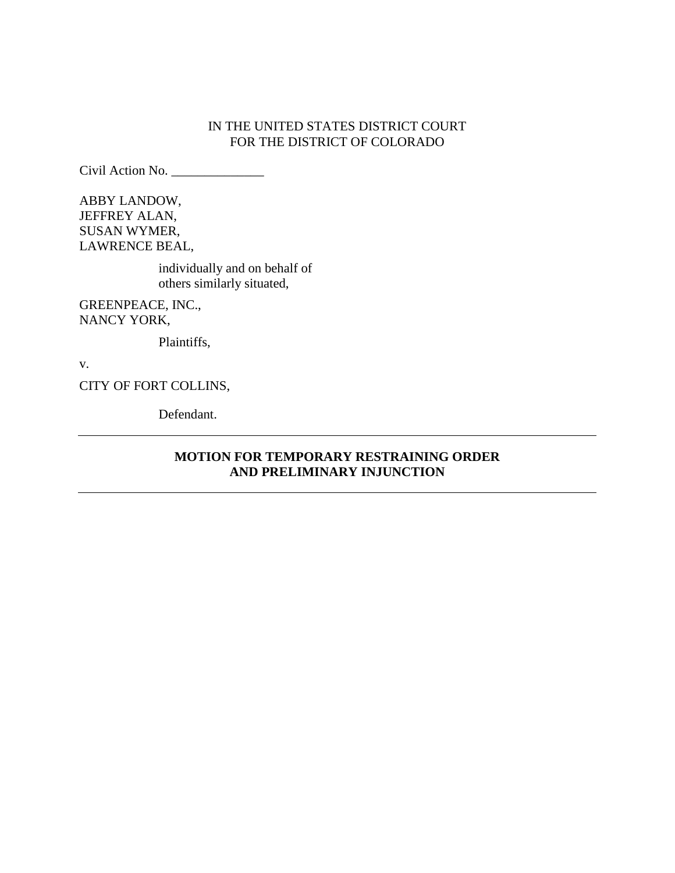# IN THE UNITED STATES DISTRICT COURT FOR THE DISTRICT OF COLORADO

Civil Action No. \_\_\_\_\_\_\_\_\_\_\_\_\_\_

ABBY LANDOW, JEFFREY ALAN, SUSAN WYMER, LAWRENCE BEAL,

> individually and on behalf of others similarly situated,

GREENPEACE, INC., NANCY YORK,

Plaintiffs,

v.

CITY OF FORT COLLINS,

Defendant.

# **MOTION FOR TEMPORARY RESTRAINING ORDER AND PRELIMINARY INJUNCTION**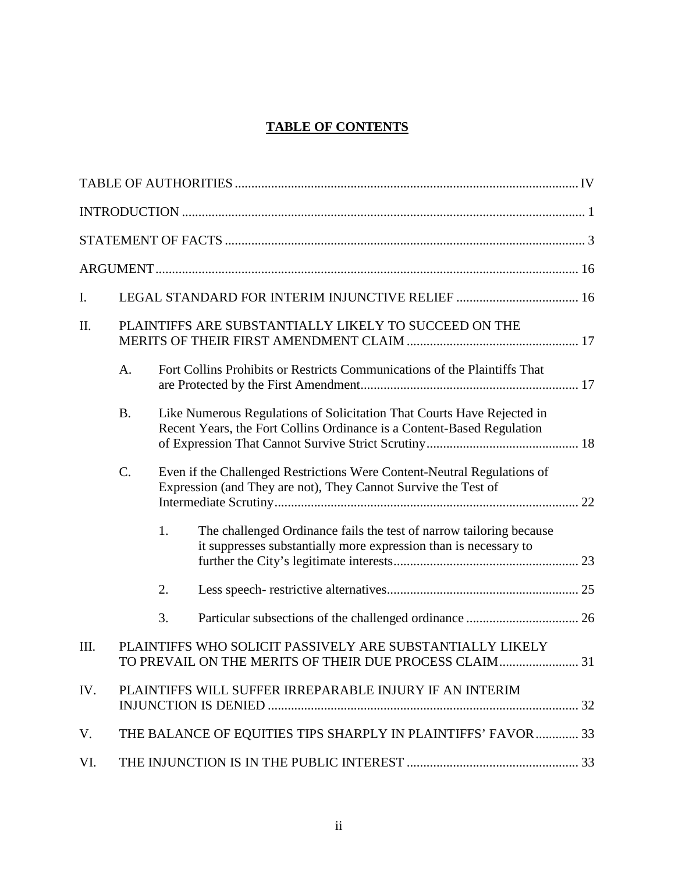# **TABLE OF CONTENTS**

| I.  |                                                       |                                                                                                                                                  |                                                                                                                                         |  |  |
|-----|-------------------------------------------------------|--------------------------------------------------------------------------------------------------------------------------------------------------|-----------------------------------------------------------------------------------------------------------------------------------------|--|--|
| II. | PLAINTIFFS ARE SUBSTANTIALLY LIKELY TO SUCCEED ON THE |                                                                                                                                                  |                                                                                                                                         |  |  |
|     | A.                                                    |                                                                                                                                                  | Fort Collins Prohibits or Restricts Communications of the Plaintiffs That                                                               |  |  |
|     | <b>B.</b>                                             | Like Numerous Regulations of Solicitation That Courts Have Rejected in<br>Recent Years, the Fort Collins Ordinance is a Content-Based Regulation |                                                                                                                                         |  |  |
|     | C.                                                    | Even if the Challenged Restrictions Were Content-Neutral Regulations of<br>Expression (and They are not), They Cannot Survive the Test of        |                                                                                                                                         |  |  |
|     |                                                       | 1.                                                                                                                                               | The challenged Ordinance fails the test of narrow tailoring because<br>it suppresses substantially more expression than is necessary to |  |  |
|     |                                                       | 2.                                                                                                                                               |                                                                                                                                         |  |  |
|     |                                                       | 3.                                                                                                                                               |                                                                                                                                         |  |  |
| Ш.  |                                                       |                                                                                                                                                  | PLAINTIFFS WHO SOLICIT PASSIVELY ARE SUBSTANTIALLY LIKELY<br>TO PREVAIL ON THE MERITS OF THEIR DUE PROCESS CLAIM31                      |  |  |
| IV. |                                                       |                                                                                                                                                  | PLAINTIFFS WILL SUFFER IRREPARABLE INJURY IF AN INTERIM                                                                                 |  |  |
| V.  |                                                       |                                                                                                                                                  | THE BALANCE OF EQUITIES TIPS SHARPLY IN PLAINTIFFS' FAVOR  33                                                                           |  |  |
| VI. |                                                       |                                                                                                                                                  |                                                                                                                                         |  |  |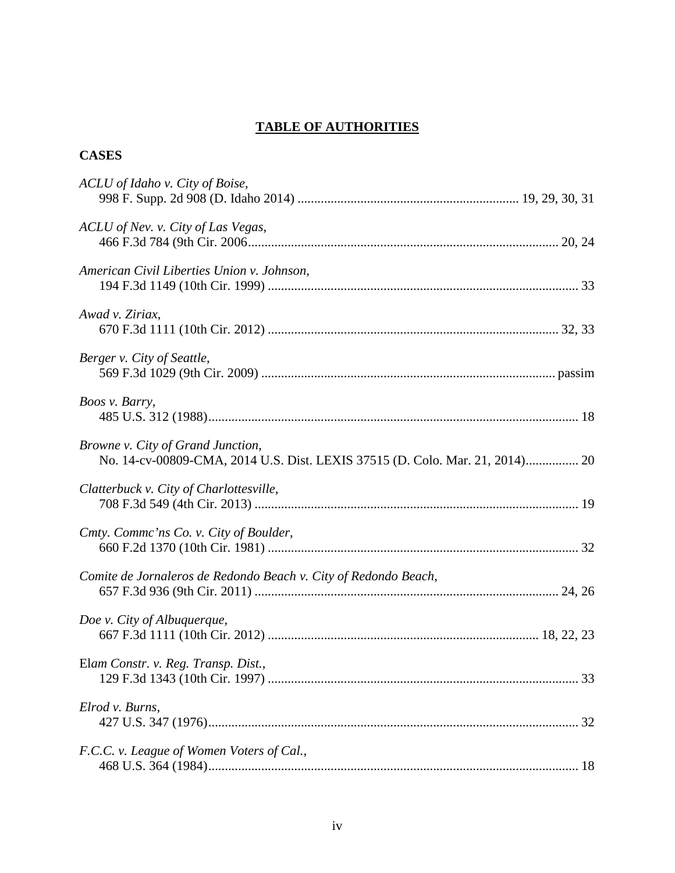# **TABLE OF AUTHORITIES**

# <span id="page-3-0"></span>**CASES**

| ACLU of Idaho v. City of Boise,                                                                                   |
|-------------------------------------------------------------------------------------------------------------------|
| ACLU of Nev. v. City of Las Vegas,                                                                                |
| American Civil Liberties Union v. Johnson,                                                                        |
| Awad v. Ziriax,                                                                                                   |
| Berger v. City of Seattle,                                                                                        |
| Boos v. Barry,                                                                                                    |
| Browne v. City of Grand Junction,<br>No. 14-cv-00809-CMA, 2014 U.S. Dist. LEXIS 37515 (D. Colo. Mar. 21, 2014) 20 |
| Clatterbuck v. City of Charlottesville,                                                                           |
| Cmty. Commc'ns Co. v. City of Boulder,                                                                            |
| Comite de Jornaleros de Redondo Beach v. City of Redondo Beach,                                                   |
| Doe v. City of Albuquerque,                                                                                       |
| Elam Constr. v. Reg. Transp. Dist.,                                                                               |
| Elrod v. Burns,                                                                                                   |
| F.C.C. v. League of Women Voters of Cal.,                                                                         |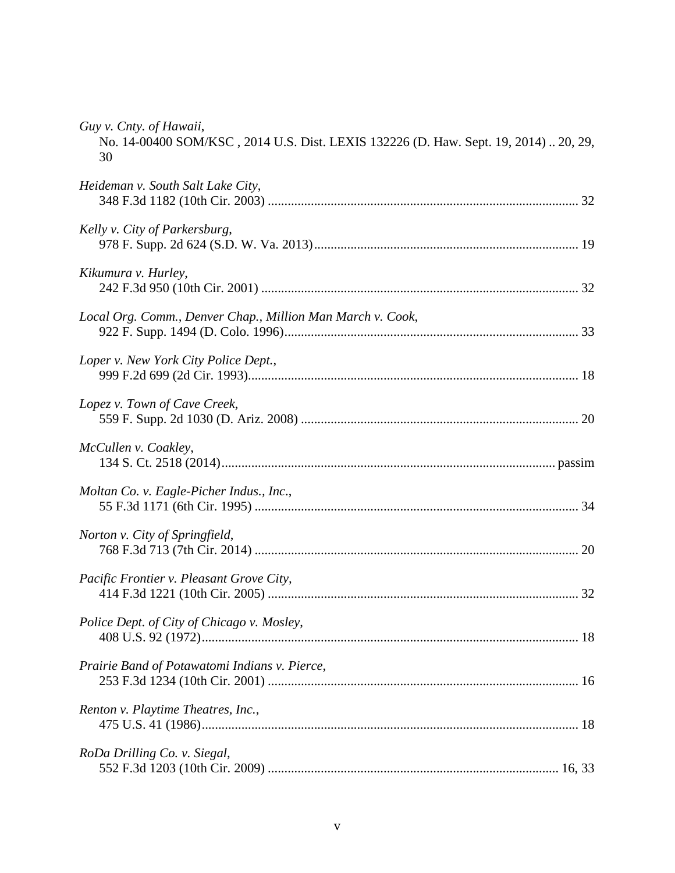| Guy v. Cnty. of Hawaii,<br>No. 14-00400 SOM/KSC, 2014 U.S. Dist. LEXIS 132226 (D. Haw. Sept. 19, 2014)  20, 29,<br>30 |
|-----------------------------------------------------------------------------------------------------------------------|
| Heideman v. South Salt Lake City,                                                                                     |
| Kelly v. City of Parkersburg,                                                                                         |
| Kikumura v. Hurley,                                                                                                   |
| Local Org. Comm., Denver Chap., Million Man March v. Cook,                                                            |
| Loper v. New York City Police Dept.,                                                                                  |
| Lopez v. Town of Cave Creek,                                                                                          |
| McCullen v. Coakley,                                                                                                  |
| Moltan Co. v. Eagle-Picher Indus., Inc.,                                                                              |
| Norton v. City of Springfield,                                                                                        |
| Pacific Frontier v. Pleasant Grove City,                                                                              |
| Police Dept. of City of Chicago v. Mosley,                                                                            |
| Prairie Band of Potawatomi Indians v. Pierce,                                                                         |
| Renton v. Playtime Theatres, Inc.,                                                                                    |
| RoDa Drilling Co. v. Siegal,                                                                                          |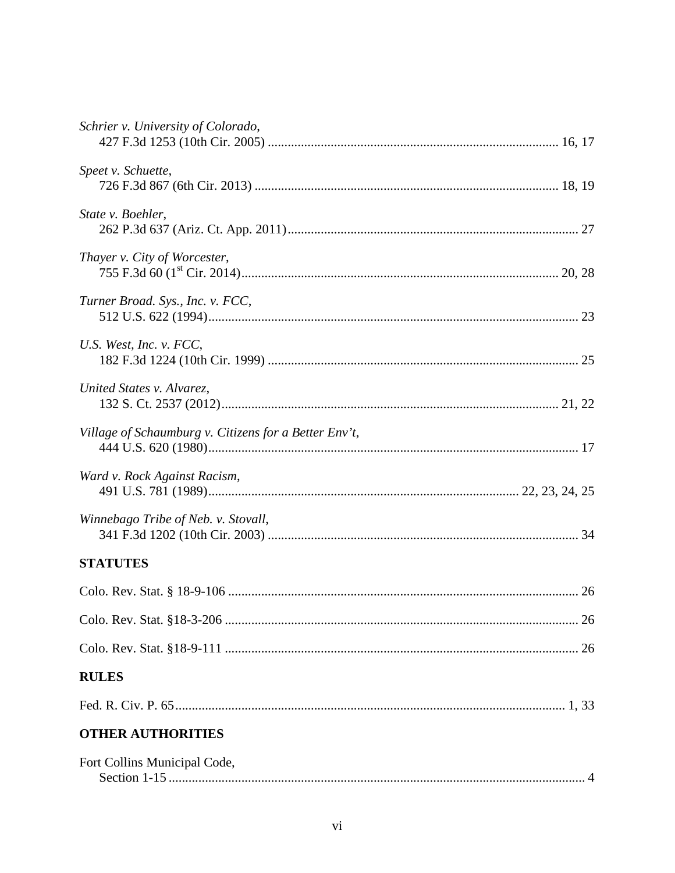| Schrier v. University of Colorado,                    |  |
|-------------------------------------------------------|--|
| Speet v. Schuette,                                    |  |
| State v. Boehler,                                     |  |
| Thayer v. City of Worcester,                          |  |
| Turner Broad. Sys., Inc. v. FCC,                      |  |
| U.S. West, Inc. v. $FCC$ ,                            |  |
| United States v. Alvarez,                             |  |
| Village of Schaumburg v. Citizens for a Better Env't, |  |
| Ward v. Rock Against Racism,                          |  |
| Winnebago Tribe of Neb. v. Stovall,                   |  |
| <b>STATUTES</b>                                       |  |
|                                                       |  |
|                                                       |  |
|                                                       |  |
| <b>RULES</b>                                          |  |
|                                                       |  |
| <b>OTHER AUTHORITIES</b>                              |  |
| Fort Collins Municipal Code,                          |  |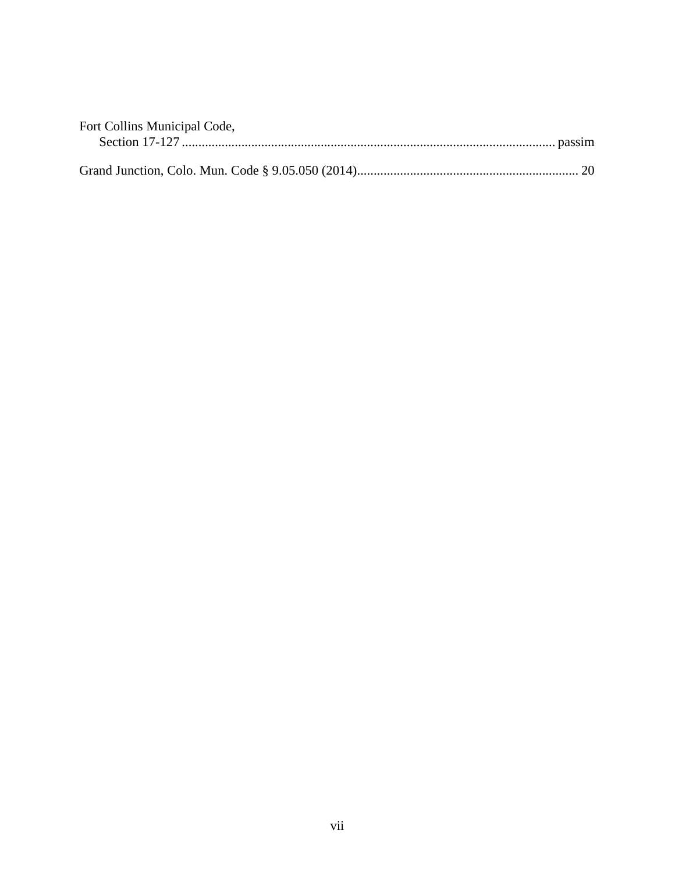| Fort Collins Municipal Code, |  |
|------------------------------|--|
|                              |  |
|                              |  |
|                              |  |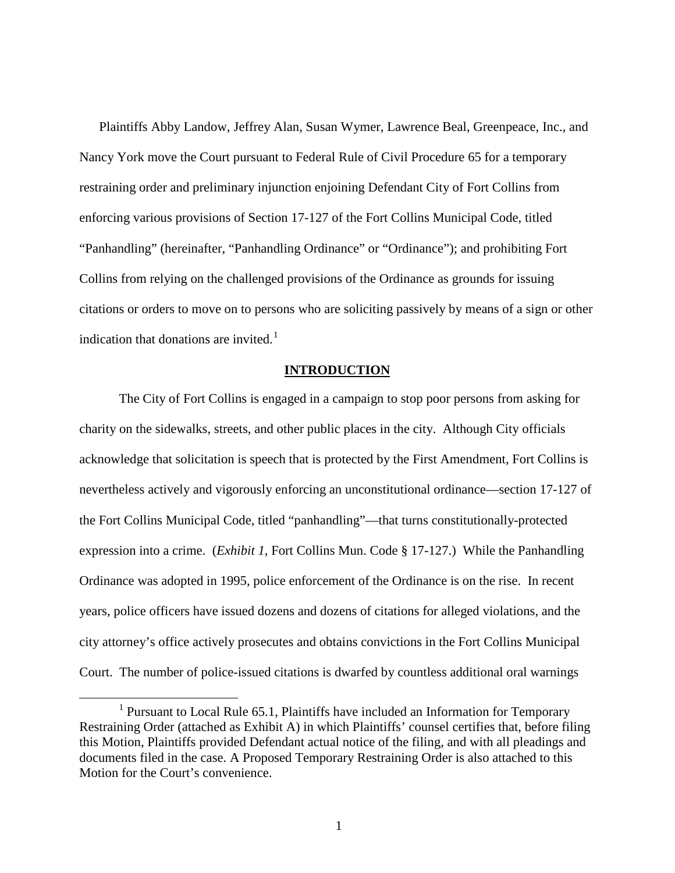Plaintiffs Abby Landow, Jeffrey Alan, Susan Wymer, Lawrence Beal, Greenpeace, Inc., and Nancy York move the Court pursuant to Federal Rule of Civil Procedure 65 for a temporary restraining order and preliminary injunction enjoining Defendant City of Fort Collins from enforcing various provisions of Section 17-127 of the Fort Collins Municipal Code, titled "Panhandling" (hereinafter, "Panhandling Ordinance" or "Ordinance"); and prohibiting Fort Collins from relying on the challenged provisions of the Ordinance as grounds for issuing citations or orders to move on to persons who are soliciting passively by means of a sign or other indication that donations are invited.<sup>[1](#page-7-1)</sup>

#### **INTRODUCTION**

<span id="page-7-0"></span>The City of Fort Collins is engaged in a campaign to stop poor persons from asking for charity on the sidewalks, streets, and other public places in the city. Although City officials acknowledge that solicitation is speech that is protected by the First Amendment, Fort Collins is nevertheless actively and vigorously enforcing an unconstitutional ordinance—section 17-127 of the Fort Collins Municipal Code, titled "panhandling"—that turns constitutionally-protected expression into a crime. (*Exhibit 1*, Fort Collins Mun. Code § 17-127.) While the Panhandling Ordinance was adopted in 1995, police enforcement of the Ordinance is on the rise. In recent years, police officers have issued dozens and dozens of citations for alleged violations, and the city attorney's office actively prosecutes and obtains convictions in the Fort Collins Municipal Court. The number of police-issued citations is dwarfed by countless additional oral warnings

<span id="page-7-1"></span><sup>&</sup>lt;sup>1</sup> Pursuant to Local Rule 65.1, Plaintiffs have included an Information for Temporary Restraining Order (attached as Exhibit A) in which Plaintiffs' counsel certifies that, before filing this Motion, Plaintiffs provided Defendant actual notice of the filing, and with all pleadings and documents filed in the case. A Proposed Temporary Restraining Order is also attached to this Motion for the Court's convenience.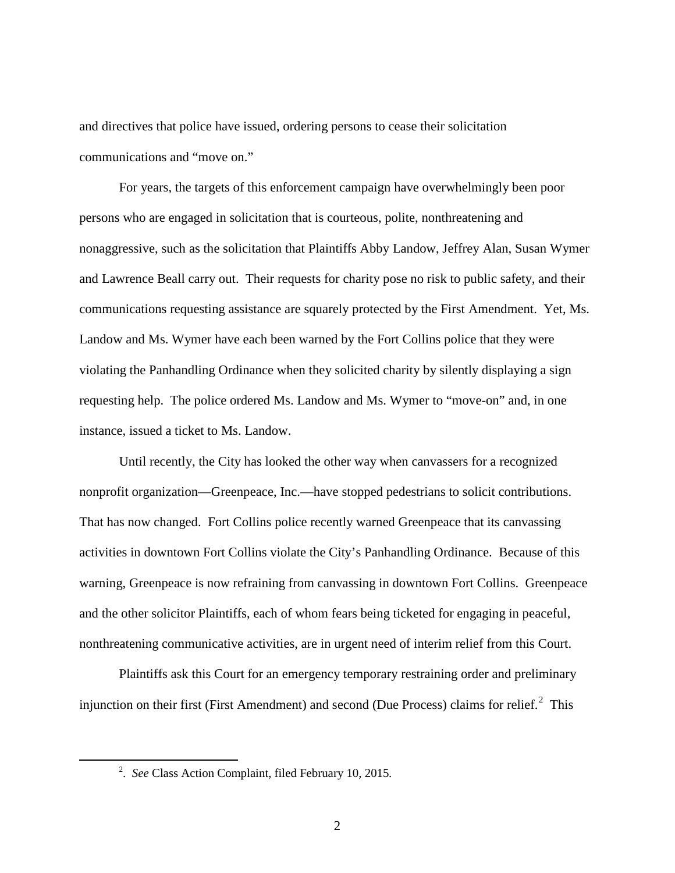and directives that police have issued, ordering persons to cease their solicitation communications and "move on."

For years, the targets of this enforcement campaign have overwhelmingly been poor persons who are engaged in solicitation that is courteous, polite, nonthreatening and nonaggressive, such as the solicitation that Plaintiffs Abby Landow, Jeffrey Alan, Susan Wymer and Lawrence Beall carry out. Their requests for charity pose no risk to public safety, and their communications requesting assistance are squarely protected by the First Amendment. Yet, Ms. Landow and Ms. Wymer have each been warned by the Fort Collins police that they were violating the Panhandling Ordinance when they solicited charity by silently displaying a sign requesting help. The police ordered Ms. Landow and Ms. Wymer to "move-on" and, in one instance, issued a ticket to Ms. Landow.

Until recently, the City has looked the other way when canvassers for a recognized nonprofit organization—Greenpeace, Inc.—have stopped pedestrians to solicit contributions. That has now changed. Fort Collins police recently warned Greenpeace that its canvassing activities in downtown Fort Collins violate the City's Panhandling Ordinance. Because of this warning, Greenpeace is now refraining from canvassing in downtown Fort Collins. Greenpeace and the other solicitor Plaintiffs, each of whom fears being ticketed for engaging in peaceful, nonthreatening communicative activities, are in urgent need of interim relief from this Court.

Plaintiffs ask this Court for an emergency temporary restraining order and preliminary injunction on their first (First Amendment) and second (Due Process) claims for relief. $2$  This

<span id="page-8-0"></span> $\overline{\phantom{a}}$  2 . *See* Class Action Complaint, filed February 10, 2015.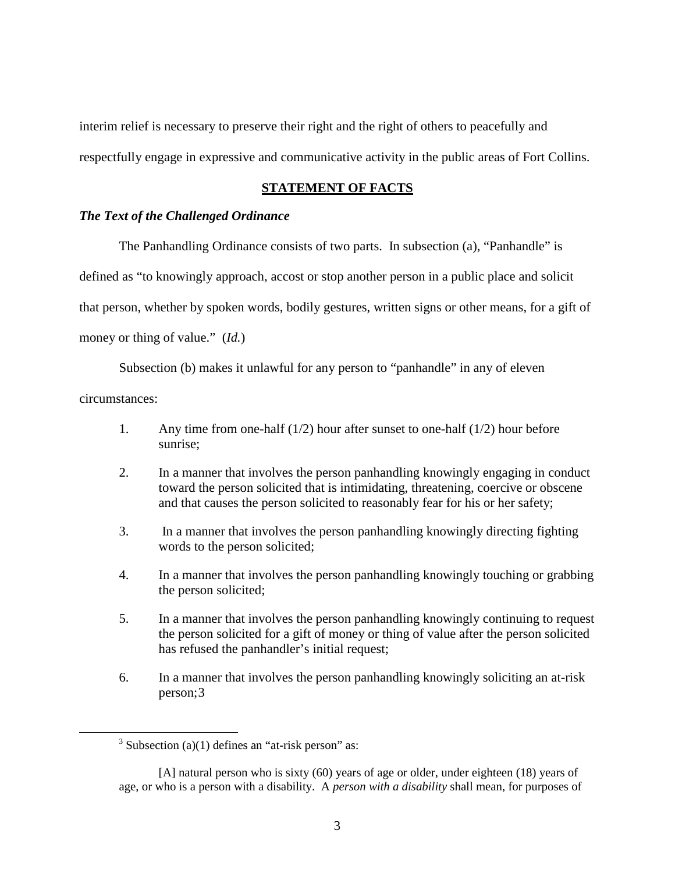interim relief is necessary to preserve their right and the right of others to peacefully and respectfully engage in expressive and communicative activity in the public areas of Fort Collins.

### **STATEMENT OF FACTS**

### <span id="page-9-0"></span>*The Text of the Challenged Ordinance*

The Panhandling Ordinance consists of two parts. In subsection (a), "Panhandle" is

defined as "to knowingly approach, accost or stop another person in a public place and solicit

that person, whether by spoken words, bodily gestures, written signs or other means, for a gift of

money or thing of value." (*Id.*)

Subsection (b) makes it unlawful for any person to "panhandle" in any of eleven

circumstances:

- 1. Any time from one-half (1/2) hour after sunset to one-half (1/2) hour before sunrise;
- 2. In a manner that involves the person panhandling knowingly engaging in conduct toward the person solicited that is intimidating, threatening, coercive or obscene and that causes the person solicited to reasonably fear for his or her safety;
- 3. In a manner that involves the person panhandling knowingly directing fighting words to the person solicited;
- 4. In a manner that involves the person panhandling knowingly touching or grabbing the person solicited;
- 5. In a manner that involves the person panhandling knowingly continuing to request the person solicited for a gift of money or thing of value after the person solicited has refused the panhandler's initial request;
- 6. In a manner that involves the person panhandling knowingly soliciting an at-risk person;[3](#page-9-1)

<span id="page-9-1"></span> $3$  Subsection (a)(1) defines an "at-risk person" as:

<sup>[</sup>A] natural person who is sixty (60) years of age or older, under eighteen (18) years of age, or who is a person with a disability. A *person with a disability* shall mean, for purposes of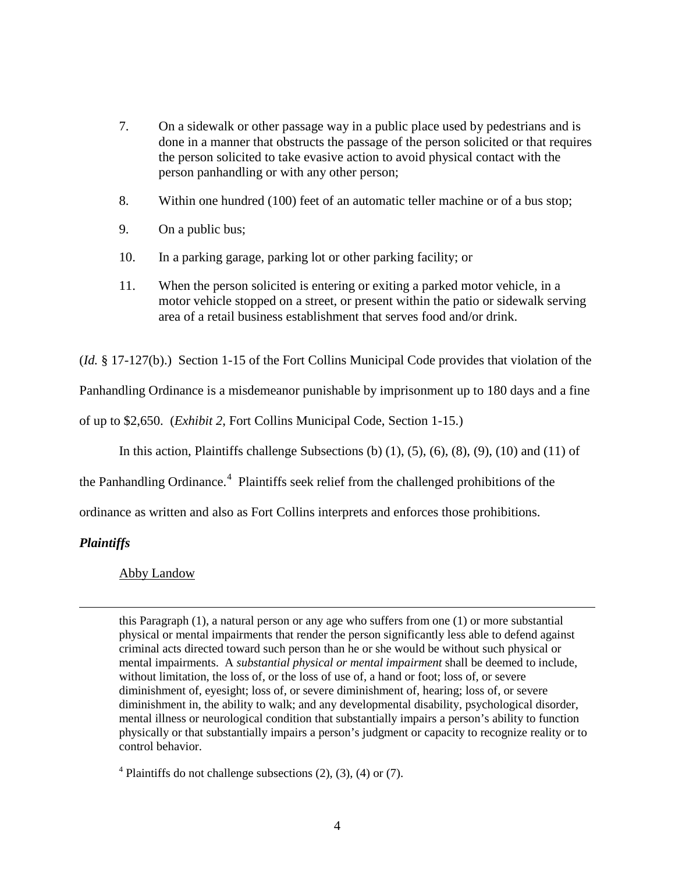- 7. On a sidewalk or other passage way in a public place used by pedestrians and is done in a manner that obstructs the passage of the person solicited or that requires the person solicited to take evasive action to avoid physical contact with the person panhandling or with any other person;
- 8. Within one hundred (100) feet of an automatic teller machine or of a bus stop;
- 9. On a public bus;
- 10. In a parking garage, parking lot or other parking facility; or
- 11. When the person solicited is entering or exiting a parked motor vehicle, in a motor vehicle stopped on a street, or present within the patio or sidewalk serving area of a retail business establishment that serves food and/or drink.

(*Id.* § 17-127(b).) Section 1-15 of the Fort Collins Municipal Code provides that violation of the

Panhandling Ordinance is a misdemeanor punishable by imprisonment up to 180 days and a fine

of up to \$2,650. (*Exhibit 2*, Fort Collins Municipal Code, Section 1-15.)

In this action, Plaintiffs challenge Subsections (b)  $(1)$ ,  $(5)$ ,  $(6)$ ,  $(8)$ ,  $(9)$ ,  $(10)$  and  $(11)$  of

the Panhandling Ordinance.<sup>[4](#page-10-0)</sup> Plaintiffs seek relief from the challenged prohibitions of the

ordinance as written and also as Fort Collins interprets and enforces those prohibitions.

# *Plaintiffs*

 $\overline{a}$ 

# Abby Landow

this Paragraph (1), a natural person or any age who suffers from one (1) or more substantial physical or mental impairments that render the person significantly less able to defend against criminal acts directed toward such person than he or she would be without such physical or mental impairments. A *substantial physical or mental impairment* shall be deemed to include, without limitation, the loss of, or the loss of use of, a hand or foot; loss of, or severe diminishment of, eyesight; loss of, or severe diminishment of, hearing; loss of, or severe diminishment in, the ability to walk; and any developmental disability, psychological disorder, mental illness or neurological condition that substantially impairs a person's ability to function physically or that substantially impairs a person's judgment or capacity to recognize reality or to control behavior.

<span id="page-10-0"></span> $4$  Plaintiffs do not challenge subsections (2), (3), (4) or (7).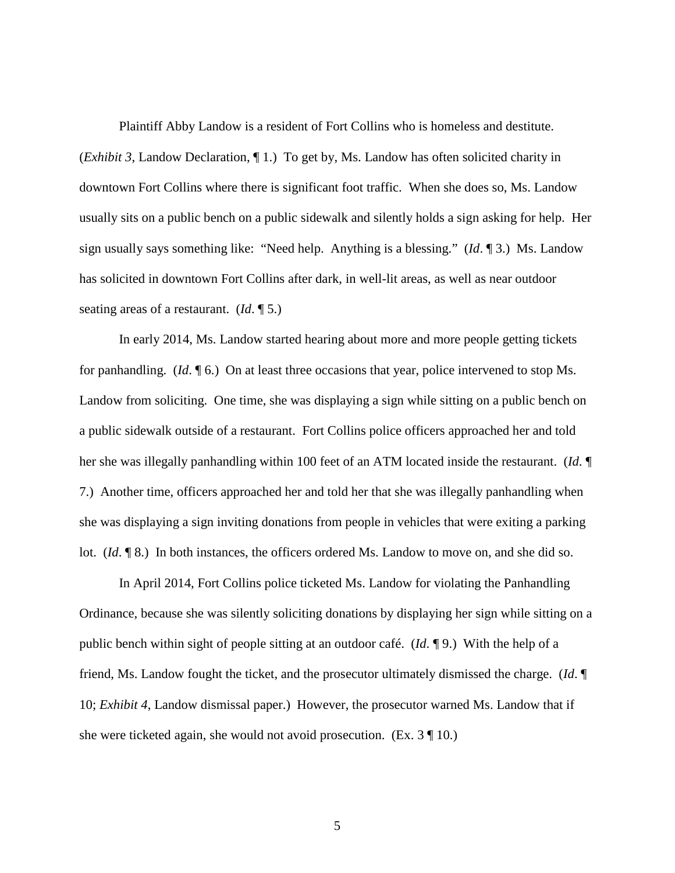Plaintiff Abby Landow is a resident of Fort Collins who is homeless and destitute. (*Exhibit 3*, Landow Declaration, ¶ 1.) To get by, Ms. Landow has often solicited charity in downtown Fort Collins where there is significant foot traffic. When she does so, Ms. Landow usually sits on a public bench on a public sidewalk and silently holds a sign asking for help. Her sign usually says something like: "Need help. Anything is a blessing." (*Id*. ¶ 3.) Ms. Landow has solicited in downtown Fort Collins after dark, in well-lit areas, as well as near outdoor seating areas of a restaurant. (*Id*. ¶ 5.)

In early 2014, Ms. Landow started hearing about more and more people getting tickets for panhandling. (*Id*. ¶ 6.) On at least three occasions that year, police intervened to stop Ms. Landow from soliciting. One time, she was displaying a sign while sitting on a public bench on a public sidewalk outside of a restaurant. Fort Collins police officers approached her and told her she was illegally panhandling within 100 feet of an ATM located inside the restaurant. (*Id*. ¶ 7.) Another time, officers approached her and told her that she was illegally panhandling when she was displaying a sign inviting donations from people in vehicles that were exiting a parking lot. (*Id*. ¶ 8.) In both instances, the officers ordered Ms. Landow to move on, and she did so.

In April 2014, Fort Collins police ticketed Ms. Landow for violating the Panhandling Ordinance, because she was silently soliciting donations by displaying her sign while sitting on a public bench within sight of people sitting at an outdoor café. (*Id*. ¶ 9.) With the help of a friend, Ms. Landow fought the ticket, and the prosecutor ultimately dismissed the charge. (*Id*. ¶ 10; *Exhibit 4*, Landow dismissal paper.) However, the prosecutor warned Ms. Landow that if she were ticketed again, she would not avoid prosecution. (Ex. 3 ¶ 10.)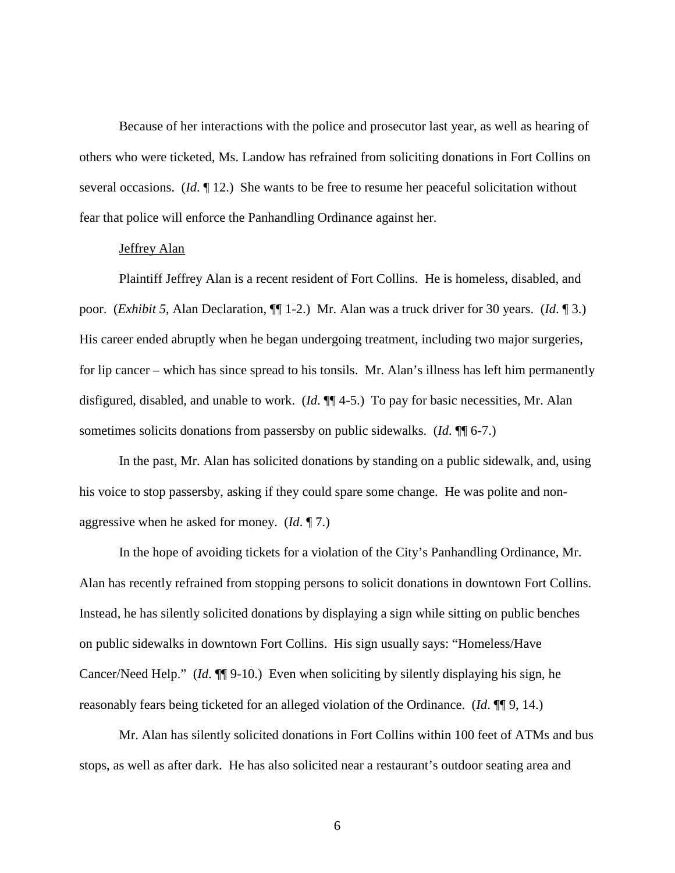Because of her interactions with the police and prosecutor last year, as well as hearing of others who were ticketed, Ms. Landow has refrained from soliciting donations in Fort Collins on several occasions. (*Id*. ¶ 12.) She wants to be free to resume her peaceful solicitation without fear that police will enforce the Panhandling Ordinance against her.

# Jeffrey Alan

Plaintiff Jeffrey Alan is a recent resident of Fort Collins. He is homeless, disabled, and poor. (*Exhibit 5*, Alan Declaration, ¶¶ 1-2.) Mr. Alan was a truck driver for 30 years. (*Id*. ¶ 3.) His career ended abruptly when he began undergoing treatment, including two major surgeries, for lip cancer – which has since spread to his tonsils. Mr. Alan's illness has left him permanently disfigured, disabled, and unable to work. (*Id*. ¶¶ 4-5.) To pay for basic necessities, Mr. Alan sometimes solicits donations from passersby on public sidewalks. (*Id*. ¶¶ 6-7.)

In the past, Mr. Alan has solicited donations by standing on a public sidewalk, and, using his voice to stop passersby, asking if they could spare some change. He was polite and nonaggressive when he asked for money. (*Id*. ¶ 7.)

In the hope of avoiding tickets for a violation of the City's Panhandling Ordinance, Mr. Alan has recently refrained from stopping persons to solicit donations in downtown Fort Collins. Instead, he has silently solicited donations by displaying a sign while sitting on public benches on public sidewalks in downtown Fort Collins. His sign usually says: "Homeless/Have Cancer/Need Help." (*Id*. ¶¶ 9-10.) Even when soliciting by silently displaying his sign, he reasonably fears being ticketed for an alleged violation of the Ordinance. (*Id*. ¶¶ 9, 14.)

Mr. Alan has silently solicited donations in Fort Collins within 100 feet of ATMs and bus stops, as well as after dark. He has also solicited near a restaurant's outdoor seating area and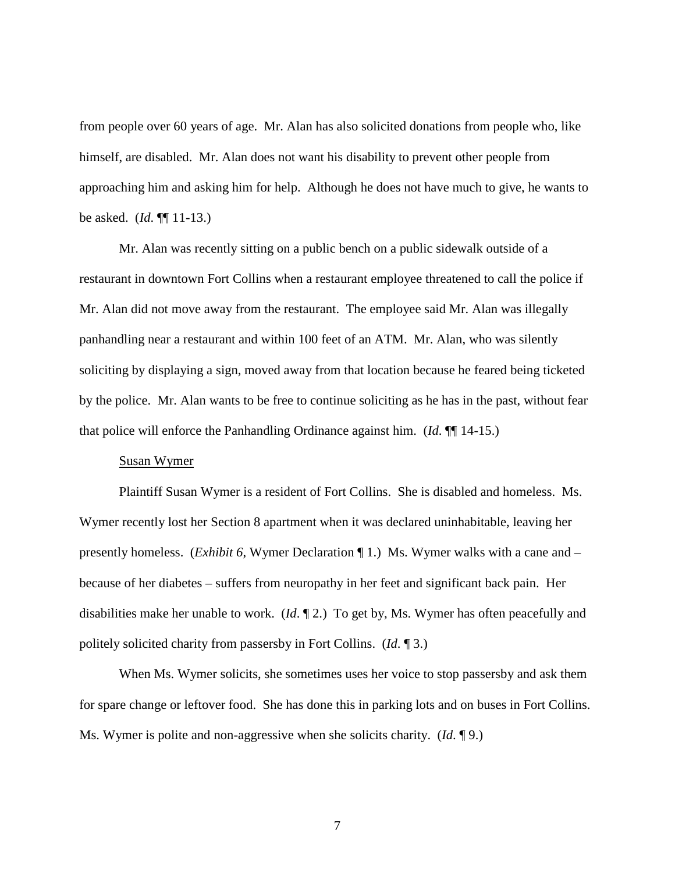from people over 60 years of age. Mr. Alan has also solicited donations from people who, like himself, are disabled. Mr. Alan does not want his disability to prevent other people from approaching him and asking him for help. Although he does not have much to give, he wants to be asked. (*Id*. ¶¶ 11-13.)

Mr. Alan was recently sitting on a public bench on a public sidewalk outside of a restaurant in downtown Fort Collins when a restaurant employee threatened to call the police if Mr. Alan did not move away from the restaurant. The employee said Mr. Alan was illegally panhandling near a restaurant and within 100 feet of an ATM. Mr. Alan, who was silently soliciting by displaying a sign, moved away from that location because he feared being ticketed by the police. Mr. Alan wants to be free to continue soliciting as he has in the past, without fear that police will enforce the Panhandling Ordinance against him. (*Id*. ¶¶ 14-15.)

#### Susan Wymer

Plaintiff Susan Wymer is a resident of Fort Collins. She is disabled and homeless. Ms. Wymer recently lost her Section 8 apartment when it was declared uninhabitable, leaving her presently homeless. (*Exhibit 6*, Wymer Declaration ¶ 1.) Ms. Wymer walks with a cane and – because of her diabetes – suffers from neuropathy in her feet and significant back pain. Her disabilities make her unable to work. (*Id*. ¶ 2.) To get by, Ms. Wymer has often peacefully and politely solicited charity from passersby in Fort Collins. (*Id*. ¶ 3.)

When Ms. Wymer solicits, she sometimes uses her voice to stop passersby and ask them for spare change or leftover food. She has done this in parking lots and on buses in Fort Collins. Ms. Wymer is polite and non-aggressive when she solicits charity. (*Id*. ¶ 9.)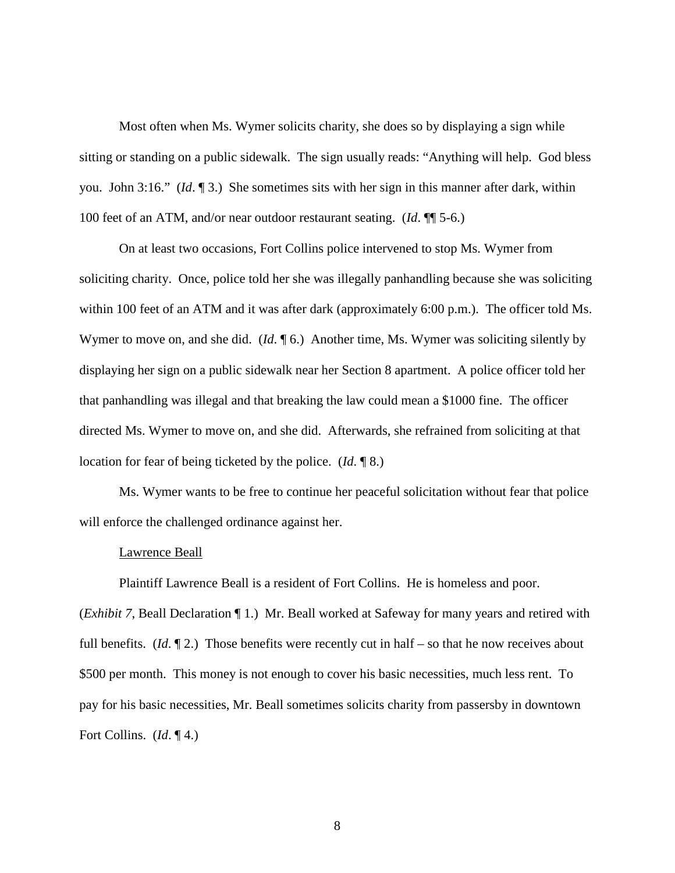Most often when Ms. Wymer solicits charity, she does so by displaying a sign while sitting or standing on a public sidewalk. The sign usually reads: "Anything will help. God bless you. John 3:16." (*Id*. ¶ 3.) She sometimes sits with her sign in this manner after dark, within 100 feet of an ATM, and/or near outdoor restaurant seating. (*Id*. ¶¶ 5-6.)

On at least two occasions, Fort Collins police intervened to stop Ms. Wymer from soliciting charity. Once, police told her she was illegally panhandling because she was soliciting within 100 feet of an ATM and it was after dark (approximately 6:00 p.m.). The officer told Ms. Wymer to move on, and she did. (*Id.* ¶ 6.) Another time, Ms. Wymer was soliciting silently by displaying her sign on a public sidewalk near her Section 8 apartment. A police officer told her that panhandling was illegal and that breaking the law could mean a \$1000 fine. The officer directed Ms. Wymer to move on, and she did. Afterwards, she refrained from soliciting at that location for fear of being ticketed by the police. (*Id*. ¶ 8.)

Ms. Wymer wants to be free to continue her peaceful solicitation without fear that police will enforce the challenged ordinance against her.

#### Lawrence Beall

Plaintiff Lawrence Beall is a resident of Fort Collins. He is homeless and poor.

(*Exhibit 7*, Beall Declaration ¶ 1.) Mr. Beall worked at Safeway for many years and retired with full benefits. (*Id*. ¶ 2.) Those benefits were recently cut in half – so that he now receives about \$500 per month. This money is not enough to cover his basic necessities, much less rent. To pay for his basic necessities, Mr. Beall sometimes solicits charity from passersby in downtown Fort Collins. (*Id*. ¶ 4.)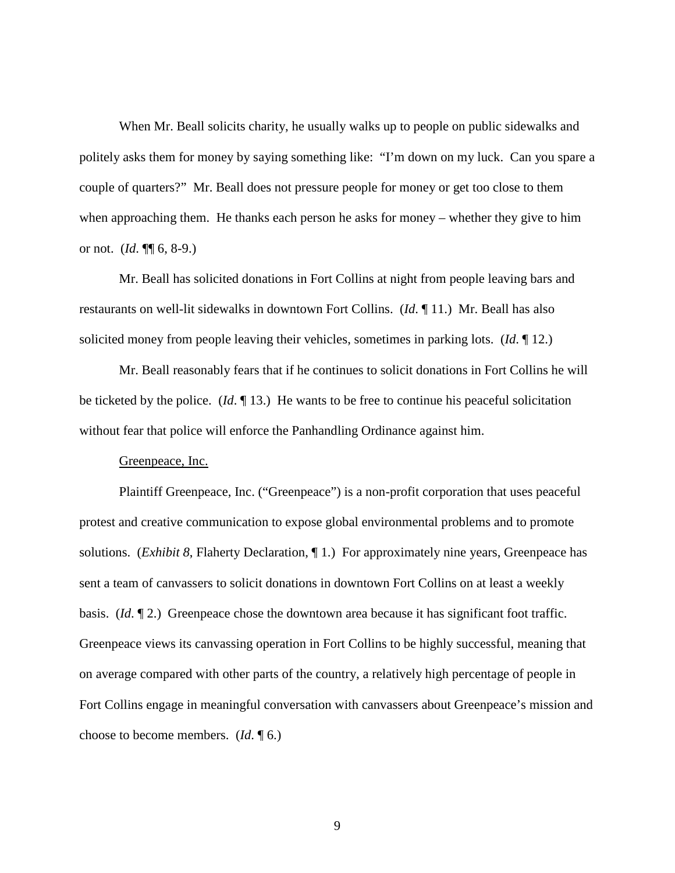When Mr. Beall solicits charity, he usually walks up to people on public sidewalks and politely asks them for money by saying something like: "I'm down on my luck. Can you spare a couple of quarters?" Mr. Beall does not pressure people for money or get too close to them when approaching them. He thanks each person he asks for money – whether they give to him or not. (*Id*. ¶¶ 6, 8-9.)

Mr. Beall has solicited donations in Fort Collins at night from people leaving bars and restaurants on well-lit sidewalks in downtown Fort Collins. (*Id*. ¶ 11.) Mr. Beall has also solicited money from people leaving their vehicles, sometimes in parking lots. (*Id*. ¶ 12.)

Mr. Beall reasonably fears that if he continues to solicit donations in Fort Collins he will be ticketed by the police. (*Id*. ¶ 13.) He wants to be free to continue his peaceful solicitation without fear that police will enforce the Panhandling Ordinance against him.

#### Greenpeace, Inc.

Plaintiff Greenpeace, Inc. ("Greenpeace") is a non-profit corporation that uses peaceful protest and creative communication to expose global environmental problems and to promote solutions. (*Exhibit 8*, Flaherty Declaration, ¶ 1.) For approximately nine years, Greenpeace has sent a team of canvassers to solicit donations in downtown Fort Collins on at least a weekly basis. (*Id*. ¶ 2.) Greenpeace chose the downtown area because it has significant foot traffic. Greenpeace views its canvassing operation in Fort Collins to be highly successful, meaning that on average compared with other parts of the country, a relatively high percentage of people in Fort Collins engage in meaningful conversation with canvassers about Greenpeace's mission and choose to become members. (*Id*. ¶ 6.)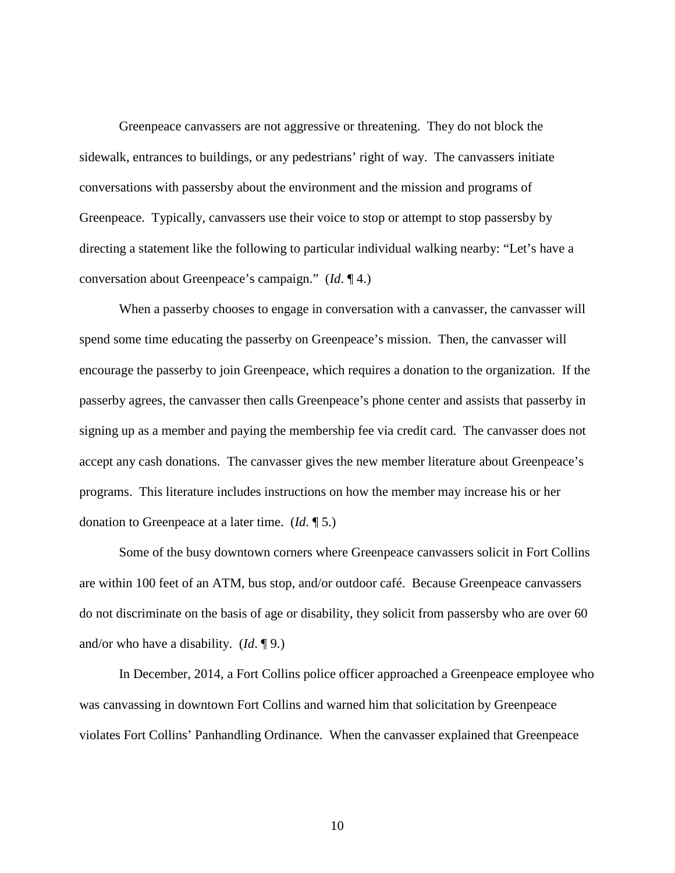Greenpeace canvassers are not aggressive or threatening. They do not block the sidewalk, entrances to buildings, or any pedestrians' right of way. The canvassers initiate conversations with passersby about the environment and the mission and programs of Greenpeace. Typically, canvassers use their voice to stop or attempt to stop passersby by directing a statement like the following to particular individual walking nearby: "Let's have a conversation about Greenpeace's campaign." (*Id*. ¶ 4.)

When a passerby chooses to engage in conversation with a canvasser, the canvasser will spend some time educating the passerby on Greenpeace's mission. Then, the canvasser will encourage the passerby to join Greenpeace, which requires a donation to the organization. If the passerby agrees, the canvasser then calls Greenpeace's phone center and assists that passerby in signing up as a member and paying the membership fee via credit card. The canvasser does not accept any cash donations. The canvasser gives the new member literature about Greenpeace's programs. This literature includes instructions on how the member may increase his or her donation to Greenpeace at a later time. (*Id*. ¶ 5.)

Some of the busy downtown corners where Greenpeace canvassers solicit in Fort Collins are within 100 feet of an ATM, bus stop, and/or outdoor café. Because Greenpeace canvassers do not discriminate on the basis of age or disability, they solicit from passersby who are over 60 and/or who have a disability. (*Id*. ¶ 9.)

In December, 2014, a Fort Collins police officer approached a Greenpeace employee who was canvassing in downtown Fort Collins and warned him that solicitation by Greenpeace violates Fort Collins' Panhandling Ordinance. When the canvasser explained that Greenpeace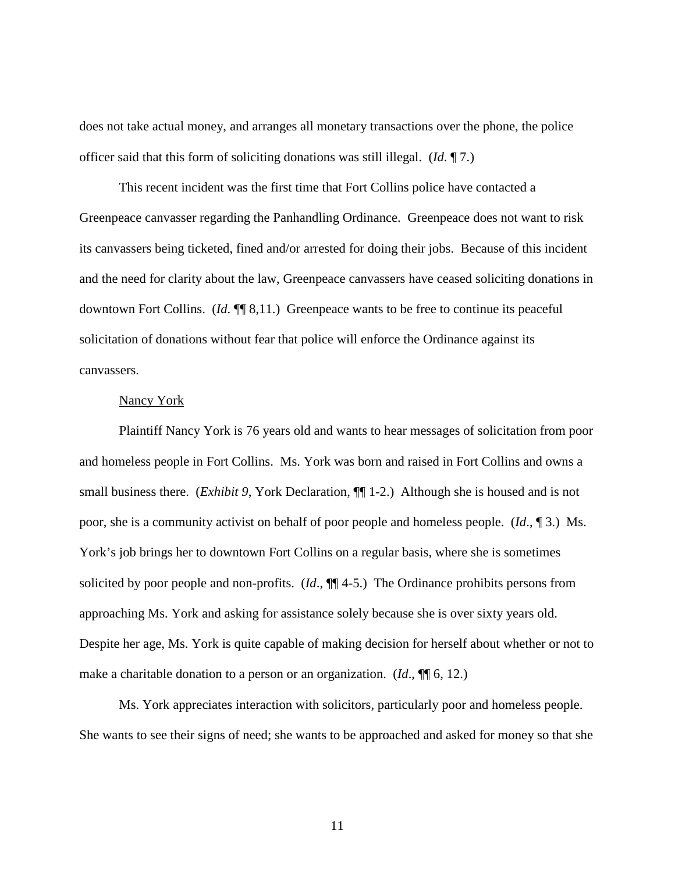does not take actual money, and arranges all monetary transactions over the phone, the police officer said that this form of soliciting donations was still illegal. (*Id*. ¶ 7.)

This recent incident was the first time that Fort Collins police have contacted a Greenpeace canvasser regarding the Panhandling Ordinance. Greenpeace does not want to risk its canvassers being ticketed, fined and/or arrested for doing their jobs. Because of this incident and the need for clarity about the law, Greenpeace canvassers have ceased soliciting donations in downtown Fort Collins. (*Id*. ¶¶ 8,11.) Greenpeace wants to be free to continue its peaceful solicitation of donations without fear that police will enforce the Ordinance against its canvassers.

## Nancy York

Plaintiff Nancy York is 76 years old and wants to hear messages of solicitation from poor and homeless people in Fort Collins. Ms. York was born and raised in Fort Collins and owns a small business there. (*Exhibit 9*, York Declaration, ¶¶ 1-2.) Although she is housed and is not poor, she is a community activist on behalf of poor people and homeless people. (*Id*., ¶ 3.) Ms. York's job brings her to downtown Fort Collins on a regular basis, where she is sometimes solicited by poor people and non-profits. (*Id*., ¶¶ 4-5.) The Ordinance prohibits persons from approaching Ms. York and asking for assistance solely because she is over sixty years old. Despite her age, Ms. York is quite capable of making decision for herself about whether or not to make a charitable donation to a person or an organization. (*Id*., ¶¶ 6, 12.)

Ms. York appreciates interaction with solicitors, particularly poor and homeless people. She wants to see their signs of need; she wants to be approached and asked for money so that she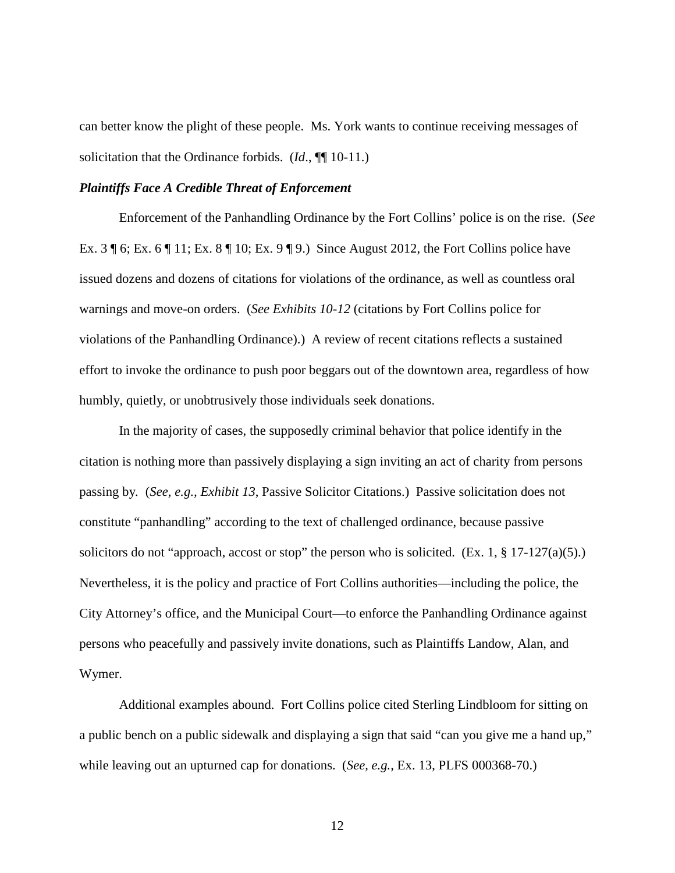can better know the plight of these people. Ms. York wants to continue receiving messages of solicitation that the Ordinance forbids. (*Id*., ¶¶ 10-11.)

#### *Plaintiffs Face A Credible Threat of Enforcement*

Enforcement of the Panhandling Ordinance by the Fort Collins' police is on the rise. (*See*  Ex. 3 ¶ 6; Ex. 6 ¶ 11; Ex. 8 ¶ 10; Ex. 9 ¶ 9.) Since August 2012, the Fort Collins police have issued dozens and dozens of citations for violations of the ordinance, as well as countless oral warnings and move-on orders. (*See Exhibits 10-12* (citations by Fort Collins police for violations of the Panhandling Ordinance).) A review of recent citations reflects a sustained effort to invoke the ordinance to push poor beggars out of the downtown area, regardless of how humbly, quietly, or unobtrusively those individuals seek donations.

In the majority of cases, the supposedly criminal behavior that police identify in the citation is nothing more than passively displaying a sign inviting an act of charity from persons passing by*.* (*See, e.g., Exhibit 13*, Passive Solicitor Citations.) Passive solicitation does not constitute "panhandling" according to the text of challenged ordinance, because passive solicitors do not "approach, accost or stop" the person who is solicited.  $(Ex. 1, § 17-127(a)(5))$ . Nevertheless, it is the policy and practice of Fort Collins authorities—including the police, the City Attorney's office, and the Municipal Court—to enforce the Panhandling Ordinance against persons who peacefully and passively invite donations, such as Plaintiffs Landow, Alan, and Wymer.

Additional examples abound. Fort Collins police cited Sterling Lindbloom for sitting on a public bench on a public sidewalk and displaying a sign that said "can you give me a hand up," while leaving out an upturned cap for donations. (*See, e.g.,* Ex. 13, PLFS 000368-70.)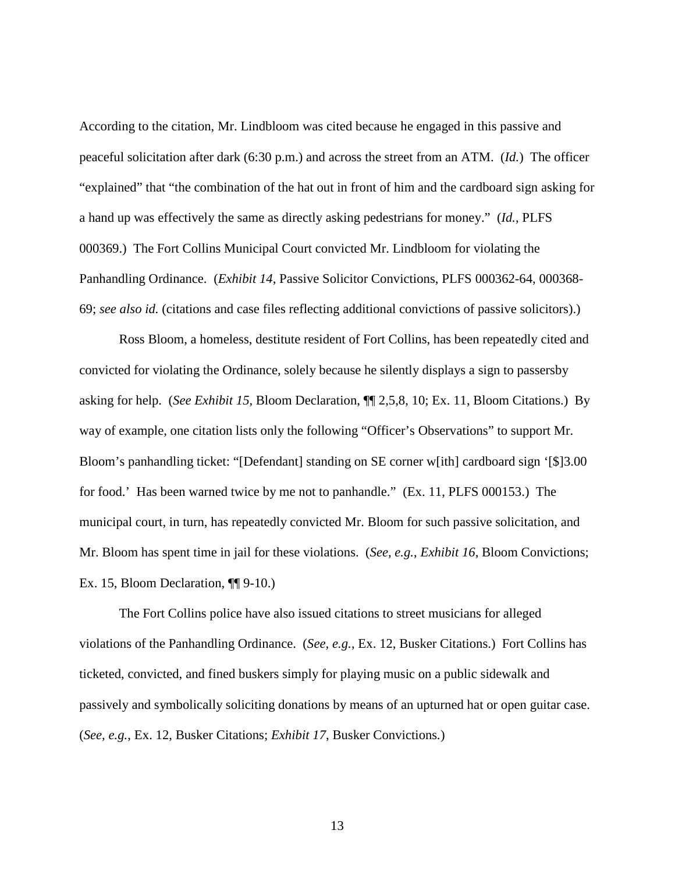According to the citation, Mr. Lindbloom was cited because he engaged in this passive and peaceful solicitation after dark (6:30 p.m.) and across the street from an ATM. (*Id.*) The officer "explained" that "the combination of the hat out in front of him and the cardboard sign asking for a hand up was effectively the same as directly asking pedestrians for money." (*Id.*, PLFS 000369.) The Fort Collins Municipal Court convicted Mr. Lindbloom for violating the Panhandling Ordinance. (*Exhibit 14*, Passive Solicitor Convictions, PLFS 000362-64, 000368- 69; *see also id.* (citations and case files reflecting additional convictions of passive solicitors).)

Ross Bloom, a homeless, destitute resident of Fort Collins, has been repeatedly cited and convicted for violating the Ordinance, solely because he silently displays a sign to passersby asking for help. (*See Exhibit 15*, Bloom Declaration, ¶¶ 2,5,8, 10; Ex. 11, Bloom Citations.) By way of example, one citation lists only the following "Officer's Observations" to support Mr. Bloom's panhandling ticket: "[Defendant] standing on SE corner w[ith] cardboard sign '[\$]3.00 for food.' Has been warned twice by me not to panhandle." (Ex. 11, PLFS 000153.) The municipal court, in turn, has repeatedly convicted Mr. Bloom for such passive solicitation, and Mr. Bloom has spent time in jail for these violations. (*See, e.g.*, *Exhibit 16*, Bloom Convictions; Ex. 15, Bloom Declaration,  $\P$ [9-10.)

The Fort Collins police have also issued citations to street musicians for alleged violations of the Panhandling Ordinance. (*See, e.g.*, Ex. 12, Busker Citations.)Fort Collins has ticketed, convicted, and fined buskers simply for playing music on a public sidewalk and passively and symbolically soliciting donations by means of an upturned hat or open guitar case. (*See, e.g.*, Ex. 12, Busker Citations; *Exhibit 17*, Busker Convictions*.*)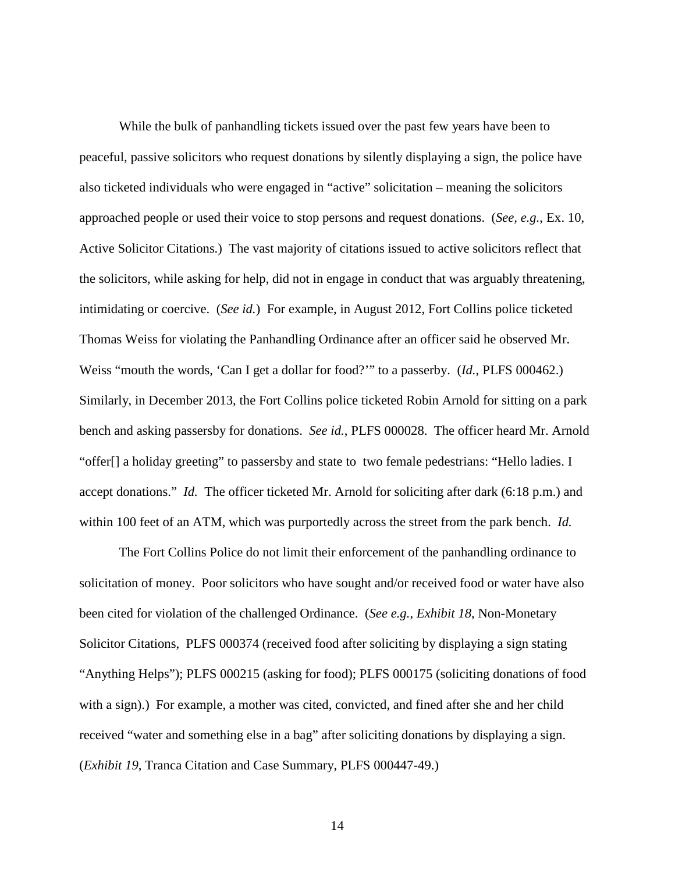While the bulk of panhandling tickets issued over the past few years have been to peaceful, passive solicitors who request donations by silently displaying a sign, the police have also ticketed individuals who were engaged in "active" solicitation – meaning the solicitors approached people or used their voice to stop persons and request donations. (*See, e.g.*, Ex. 10, Active Solicitor Citations.) The vast majority of citations issued to active solicitors reflect that the solicitors, while asking for help, did not in engage in conduct that was arguably threatening, intimidating or coercive. (*See id.*)For example, in August 2012, Fort Collins police ticketed Thomas Weiss for violating the Panhandling Ordinance after an officer said he observed Mr. Weiss "mouth the words, 'Can I get a dollar for food?'" to a passerby. (*Id.*, PLFS 000462.) Similarly, in December 2013, the Fort Collins police ticketed Robin Arnold for sitting on a park bench and asking passersby for donations. *See id.*, PLFS 000028. The officer heard Mr. Arnold "offer[] a holiday greeting" to passersby and state to two female pedestrians: "Hello ladies. I accept donations." *Id.* The officer ticketed Mr. Arnold for soliciting after dark (6:18 p.m.) and within 100 feet of an ATM, which was purportedly across the street from the park bench. *Id.* 

The Fort Collins Police do not limit their enforcement of the panhandling ordinance to solicitation of money. Poor solicitors who have sought and/or received food or water have also been cited for violation of the challenged Ordinance. (*See e.g.*, *Exhibit 18*, Non-Monetary Solicitor Citations, PLFS 000374 (received food after soliciting by displaying a sign stating "Anything Helps"); PLFS 000215 (asking for food); PLFS 000175 (soliciting donations of food with a sign).) For example, a mother was cited, convicted, and fined after she and her child received "water and something else in a bag" after soliciting donations by displaying a sign. (*Exhibit 19*, Tranca Citation and Case Summary, PLFS 000447-49.)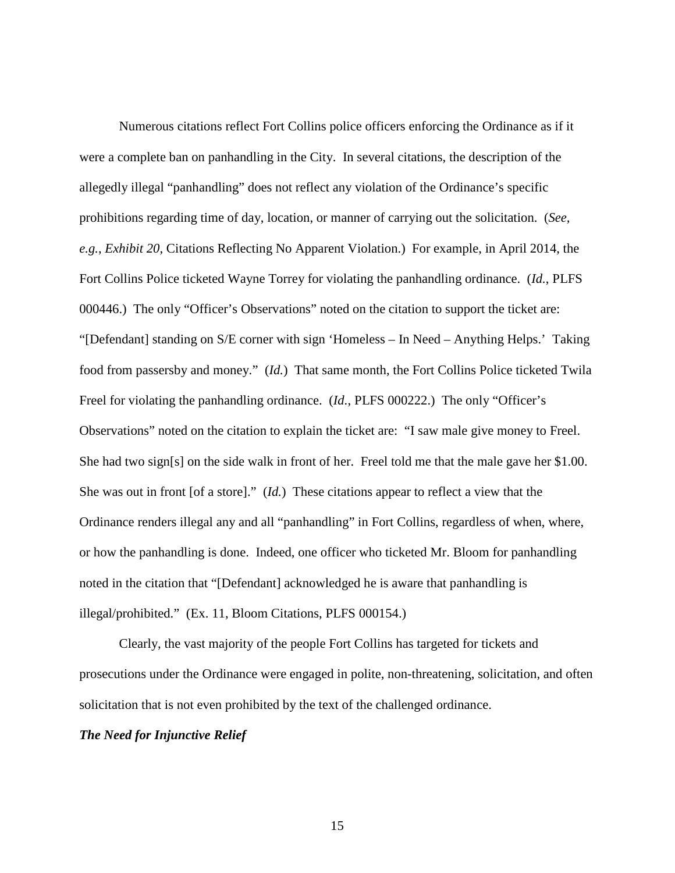Numerous citations reflect Fort Collins police officers enforcing the Ordinance as if it were a complete ban on panhandling in the City. In several citations, the description of the allegedly illegal "panhandling" does not reflect any violation of the Ordinance's specific prohibitions regarding time of day, location, or manner of carrying out the solicitation. (*See, e.g.*, *Exhibit 20*, Citations Reflecting No Apparent Violation.) For example, in April 2014, the Fort Collins Police ticketed Wayne Torrey for violating the panhandling ordinance. (*Id.*, PLFS 000446.) The only "Officer's Observations" noted on the citation to support the ticket are: "[Defendant] standing on S/E corner with sign 'Homeless – In Need – Anything Helps.' Taking food from passersby and money." (*Id.*)That same month, the Fort Collins Police ticketed Twila Freel for violating the panhandling ordinance. (*Id.*, PLFS 000222.) The only "Officer's Observations" noted on the citation to explain the ticket are: "I saw male give money to Freel. She had two sign[s] on the side walk in front of her. Freel told me that the male gave her \$1.00. She was out in front [of a store]." (*Id.*)These citations appear to reflect a view that the Ordinance renders illegal any and all "panhandling" in Fort Collins, regardless of when, where, or how the panhandling is done. Indeed, one officer who ticketed Mr. Bloom for panhandling noted in the citation that "[Defendant] acknowledged he is aware that panhandling is illegal/prohibited." (Ex. 11, Bloom Citations, PLFS 000154.)

Clearly, the vast majority of the people Fort Collins has targeted for tickets and prosecutions under the Ordinance were engaged in polite, non-threatening, solicitation, and often solicitation that is not even prohibited by the text of the challenged ordinance.

### *The Need for Injunctive Relief*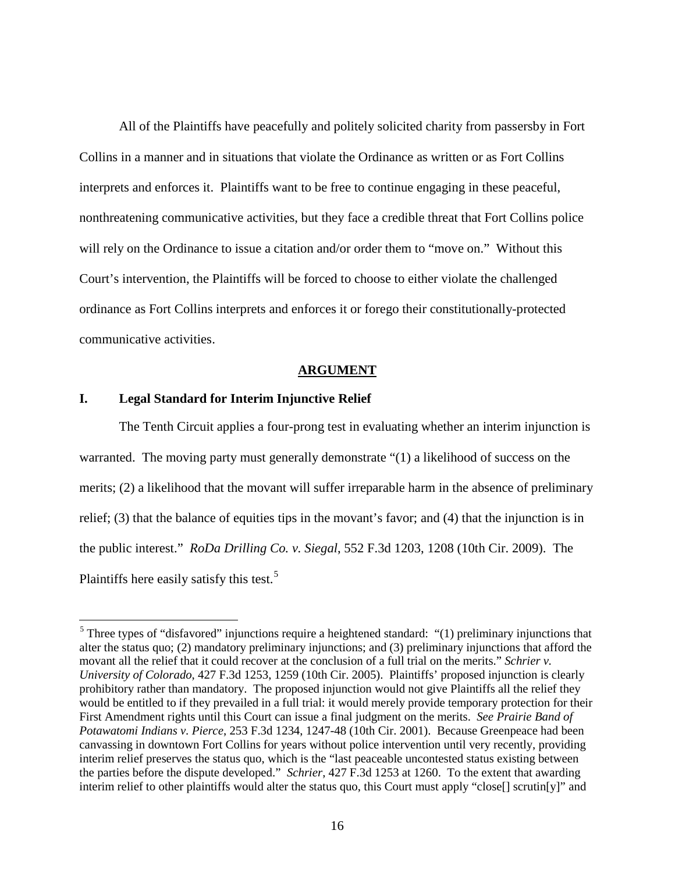All of the Plaintiffs have peacefully and politely solicited charity from passersby in Fort Collins in a manner and in situations that violate the Ordinance as written or as Fort Collins interprets and enforces it. Plaintiffs want to be free to continue engaging in these peaceful, nonthreatening communicative activities, but they face a credible threat that Fort Collins police will rely on the Ordinance to issue a citation and/or order them to "move on." Without this Court's intervention, the Plaintiffs will be forced to choose to either violate the challenged ordinance as Fort Collins interprets and enforces it or forego their constitutionally-protected communicative activities.

### **ARGUMENT**

### <span id="page-22-1"></span><span id="page-22-0"></span>**I. Legal Standard for Interim Injunctive Relief**

The Tenth Circuit applies a four-prong test in evaluating whether an interim injunction is warranted. The moving party must generally demonstrate "(1) a likelihood of success on the merits; (2) a likelihood that the movant will suffer irreparable harm in the absence of preliminary relief; (3) that the balance of equities tips in the movant's favor; and (4) that the injunction is in the public interest." *RoDa Drilling Co. v. Siegal*, 552 F.3d 1203, 1208 (10th Cir. 2009). The Plaintiffs here easily satisfy this test.<sup>[5](#page-22-2)</sup>

<span id="page-22-2"></span> $5$  Three types of "disfavored" injunctions require a heightened standard: "(1) preliminary injunctions that alter the status quo; (2) mandatory preliminary injunctions; and (3) preliminary injunctions that afford the movant all the relief that it could recover at the conclusion of a full trial on the merits." *Schrier v. University of Colorado*, 427 F.3d 1253, 1259 (10th Cir. 2005). Plaintiffs' proposed injunction is clearly prohibitory rather than mandatory. The proposed injunction would not give Plaintiffs all the relief they would be entitled to if they prevailed in a full trial: it would merely provide temporary protection for their First Amendment rights until this Court can issue a final judgment on the merits. *See Prairie Band of Potawatomi Indians v. Pierce*, 253 F.3d 1234, 1247-48 (10th Cir. 2001). Because Greenpeace had been canvassing in downtown Fort Collins for years without police intervention until very recently, providing interim relief preserves the status quo, which is the "last peaceable uncontested status existing between the parties before the dispute developed." *Schrier*, 427 F.3d 1253 at 1260. To the extent that awarding interim relief to other plaintiffs would alter the status quo, this Court must apply "close[] scrutin[y]" and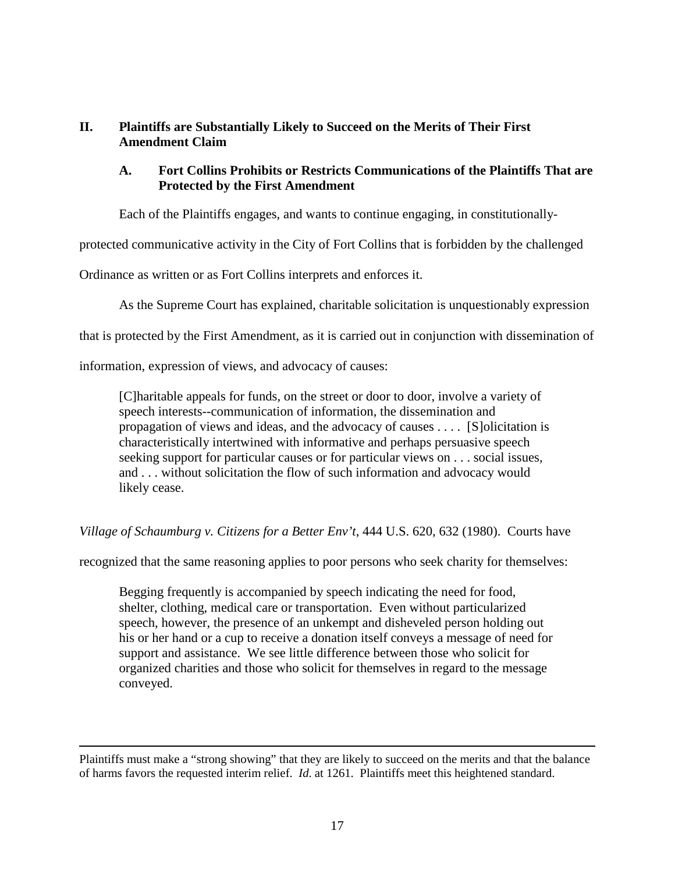# <span id="page-23-0"></span>**II. Plaintiffs are Substantially Likely to Succeed on the Merits of Their First Amendment Claim**

# <span id="page-23-1"></span>**A. Fort Collins Prohibits or Restricts Communications of the Plaintiffs That are Protected by the First Amendment**

Each of the Plaintiffs engages, and wants to continue engaging, in constitutionally-

protected communicative activity in the City of Fort Collins that is forbidden by the challenged

Ordinance as written or as Fort Collins interprets and enforces it.

As the Supreme Court has explained, charitable solicitation is unquestionably expression

that is protected by the First Amendment, as it is carried out in conjunction with dissemination of

information, expression of views, and advocacy of causes:

 $\overline{a}$ 

[C]haritable appeals for funds, on the street or door to door, involve a variety of speech interests--communication of information, the dissemination and propagation of views and ideas, and the advocacy of causes . . . . [S]olicitation is characteristically intertwined with informative and perhaps persuasive speech seeking support for particular causes or for particular views on . . . social issues, and . . . without solicitation the flow of such information and advocacy would likely cease.

*Village of Schaumburg v. Citizens for a Better Env't*, 444 U.S. 620, 632 (1980). Courts have

recognized that the same reasoning applies to poor persons who seek charity for themselves:

Begging frequently is accompanied by speech indicating the need for food, shelter, clothing, medical care or transportation. Even without particularized speech, however, the presence of an unkempt and disheveled person holding out his or her hand or a cup to receive a donation itself conveys a message of need for support and assistance. We see little difference between those who solicit for organized charities and those who solicit for themselves in regard to the message conveyed.

Plaintiffs must make a "strong showing" that they are likely to succeed on the merits and that the balance of harms favors the requested interim relief. *Id*. at 1261. Plaintiffs meet this heightened standard.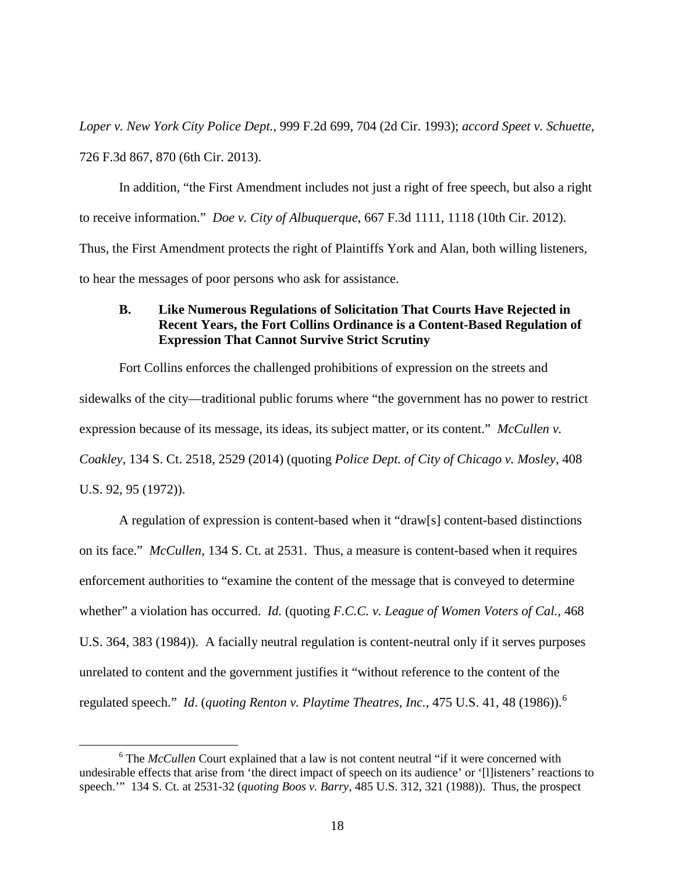*Loper v. New York City Police Dept.*, 999 F.2d 699, 704 (2d Cir. 1993); *accord Speet v. Schuette*, 726 F.3d 867, 870 (6th Cir. 2013).

In addition, "the First Amendment includes not just a right of free speech, but also a right to receive information." *Doe v. City of Albuquerque*, 667 F.3d 1111, 1118 (10th Cir. 2012). Thus, the First Amendment protects the right of Plaintiffs York and Alan, both willing listeners, to hear the messages of poor persons who ask for assistance.

# <span id="page-24-0"></span>**B. Like Numerous Regulations of Solicitation That Courts Have Rejected in Recent Years, the Fort Collins Ordinance is a Content-Based Regulation of Expression That Cannot Survive Strict Scrutiny**

Fort Collins enforces the challenged prohibitions of expression on the streets and sidewalks of the city—traditional public forums where "the government has no power to restrict expression because of its message, its ideas, its subject matter, or its content." *McCullen v. Coakley*, 134 S. Ct. 2518, 2529 (2014) (quoting *Police Dept. of City of Chicago v. Mosley*, 408 U.S. 92, 95 (1972)).

A regulation of expression is content-based when it "draw[s] content-based distinctions on its face." *McCullen*, 134 S. Ct. at 2531. Thus, a measure is content-based when it requires enforcement authorities to "examine the content of the message that is conveyed to determine whether" a violation has occurred. *Id.* (quoting *F.C.C. v. League of Women Voters of Cal.,* 468 U.S. 364, 383 (1984)). A facially neutral regulation is content-neutral only if it serves purposes unrelated to content and the government justifies it "without reference to the content of the regulated speech." *Id*. (*quoting Renton v. Playtime Theatres, Inc.*, 475 U.S. 41, 48 (1986)).[6](#page-24-1)

<span id="page-24-1"></span><sup>&</sup>lt;sup>6</sup> The *McCullen* Court explained that a law is not content neutral "if it were concerned with undesirable effects that arise from 'the direct impact of speech on its audience' or '[l]isteners' reactions to speech.'" 134 S. Ct. at 2531-32 (*quoting Boos v. Barry*, 485 U.S. 312, 321 (1988)). Thus, the prospect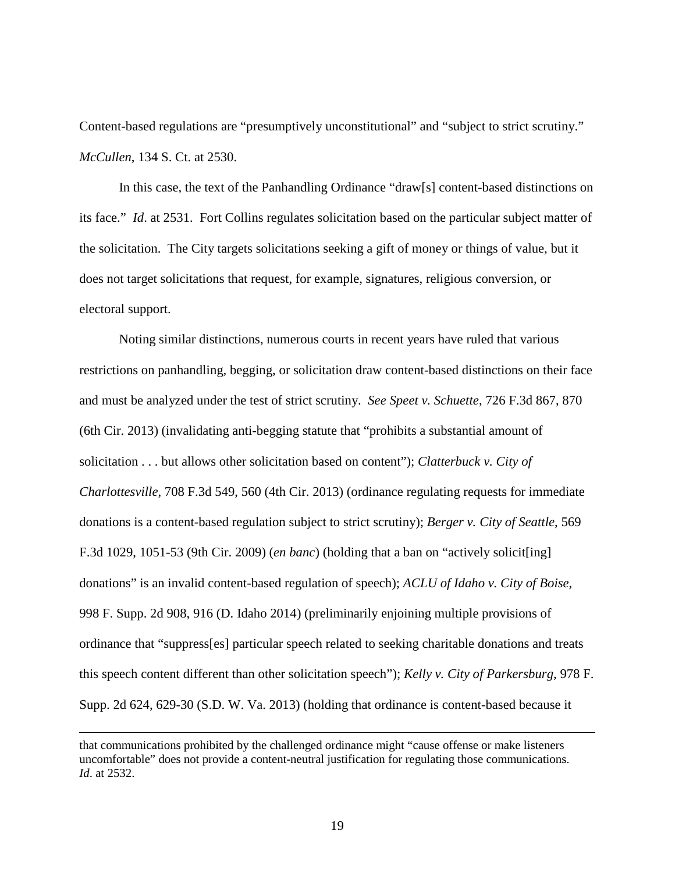Content-based regulations are "presumptively unconstitutional" and "subject to strict scrutiny." *McCullen*, 134 S. Ct. at 2530.

In this case, the text of the Panhandling Ordinance "draw[s] content-based distinctions on its face." *Id*. at 2531. Fort Collins regulates solicitation based on the particular subject matter of the solicitation. The City targets solicitations seeking a gift of money or things of value, but it does not target solicitations that request, for example, signatures, religious conversion, or electoral support.

Noting similar distinctions, numerous courts in recent years have ruled that various restrictions on panhandling, begging, or solicitation draw content-based distinctions on their face and must be analyzed under the test of strict scrutiny. *See Speet v. Schuette*, 726 F.3d 867, 870 (6th Cir. 2013) (invalidating anti-begging statute that "prohibits a substantial amount of solicitation . . . but allows other solicitation based on content"); *Clatterbuck v. City of Charlottesville*, 708 F.3d 549, 560 (4th Cir. 2013) (ordinance regulating requests for immediate donations is a content-based regulation subject to strict scrutiny); *Berger v. City of Seattle*, 569 F.3d 1029, 1051-53 (9th Cir. 2009) (*en banc*) (holding that a ban on "actively solicit[ing] donations" is an invalid content-based regulation of speech); *ACLU of Idaho v. City of Boise*, 998 F. Supp. 2d 908, 916 (D. Idaho 2014) (preliminarily enjoining multiple provisions of ordinance that "suppress[es] particular speech related to seeking charitable donations and treats this speech content different than other solicitation speech"); *Kelly v. City of Parkersburg*, 978 F. Supp. 2d 624, 629-30 (S.D. W. Va. 2013) (holding that ordinance is content-based because it

 $\overline{a}$ 

that communications prohibited by the challenged ordinance might "cause offense or make listeners uncomfortable" does not provide a content-neutral justification for regulating those communications. *Id*. at 2532.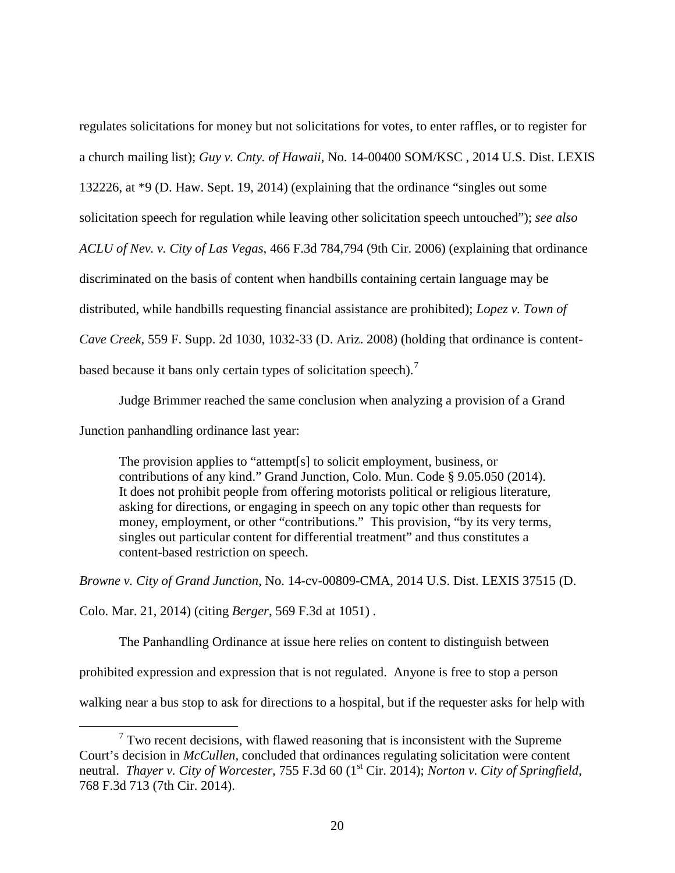regulates solicitations for money but not solicitations for votes, to enter raffles, or to register for a church mailing list); *Guy v. Cnty. of Hawaii*, No. 14-00400 SOM/KSC , 2014 U.S. Dist. LEXIS 132226, at \*9 (D. Haw. Sept. 19, 2014) (explaining that the ordinance "singles out some solicitation speech for regulation while leaving other solicitation speech untouched"); *see also ACLU of Nev. v. City of Las Vegas*, 466 F.3d 784,794 (9th Cir. 2006) (explaining that ordinance discriminated on the basis of content when handbills containing certain language may be distributed, while handbills requesting financial assistance are prohibited); *Lopez v. Town of Cave Creek*, 559 F. Supp. 2d 1030, 1032-33 (D. Ariz. 2008) (holding that ordinance is content-based because it bans only certain types of solicitation speech).<sup>[7](#page-26-0)</sup>

Judge Brimmer reached the same conclusion when analyzing a provision of a Grand

Junction panhandling ordinance last year:

The provision applies to "attempt[s] to solicit employment, business, or contributions of any kind." Grand Junction, Colo. Mun. Code § 9.05.050 (2014). It does not prohibit people from offering motorists political or religious literature, asking for directions, or engaging in speech on any topic other than requests for money, employment, or other "contributions." This provision, "by its very terms, singles out particular content for differential treatment" and thus constitutes a content-based restriction on speech.

*Browne v. City of Grand Junction*, No. 14-cv-00809-CMA, 2014 U.S. Dist. LEXIS 37515 (D.

Colo. Mar. 21, 2014) (citing *Berger*, 569 F.3d at 1051) .

The Panhandling Ordinance at issue here relies on content to distinguish between

prohibited expression and expression that is not regulated. Anyone is free to stop a person

walking near a bus stop to ask for directions to a hospital, but if the requester asks for help with

<span id="page-26-0"></span> $7$  Two recent decisions, with flawed reasoning that is inconsistent with the Supreme Court's decision in *McCullen*, concluded that ordinances regulating solicitation were content neutral. *Thayer v. City of Worcester*, 755 F.3d 60 (1<sup>st</sup> Cir. 2014); *Norton v. City of Springfield*, 768 F.3d 713 (7th Cir. 2014).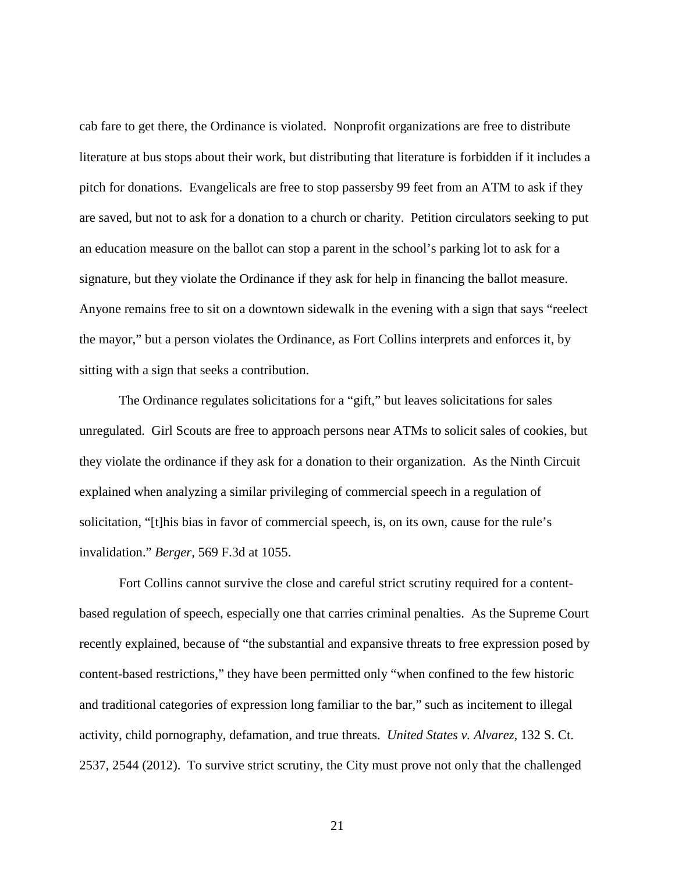cab fare to get there, the Ordinance is violated. Nonprofit organizations are free to distribute literature at bus stops about their work, but distributing that literature is forbidden if it includes a pitch for donations. Evangelicals are free to stop passersby 99 feet from an ATM to ask if they are saved, but not to ask for a donation to a church or charity. Petition circulators seeking to put an education measure on the ballot can stop a parent in the school's parking lot to ask for a signature, but they violate the Ordinance if they ask for help in financing the ballot measure. Anyone remains free to sit on a downtown sidewalk in the evening with a sign that says "reelect the mayor," but a person violates the Ordinance, as Fort Collins interprets and enforces it, by sitting with a sign that seeks a contribution.

The Ordinance regulates solicitations for a "gift," but leaves solicitations for sales unregulated. Girl Scouts are free to approach persons near ATMs to solicit sales of cookies, but they violate the ordinance if they ask for a donation to their organization. As the Ninth Circuit explained when analyzing a similar privileging of commercial speech in a regulation of solicitation, "[t]his bias in favor of commercial speech, is, on its own, cause for the rule's invalidation." *Berger*, 569 F.3d at 1055.

Fort Collins cannot survive the close and careful strict scrutiny required for a contentbased regulation of speech, especially one that carries criminal penalties. As the Supreme Court recently explained, because of "the substantial and expansive threats to free expression posed by content-based restrictions," they have been permitted only "when confined to the few historic and traditional categories of expression long familiar to the bar," such as incitement to illegal activity, child pornography, defamation, and true threats. *United States v. Alvarez*, 132 S. Ct. 2537, 2544 (2012). To survive strict scrutiny, the City must prove not only that the challenged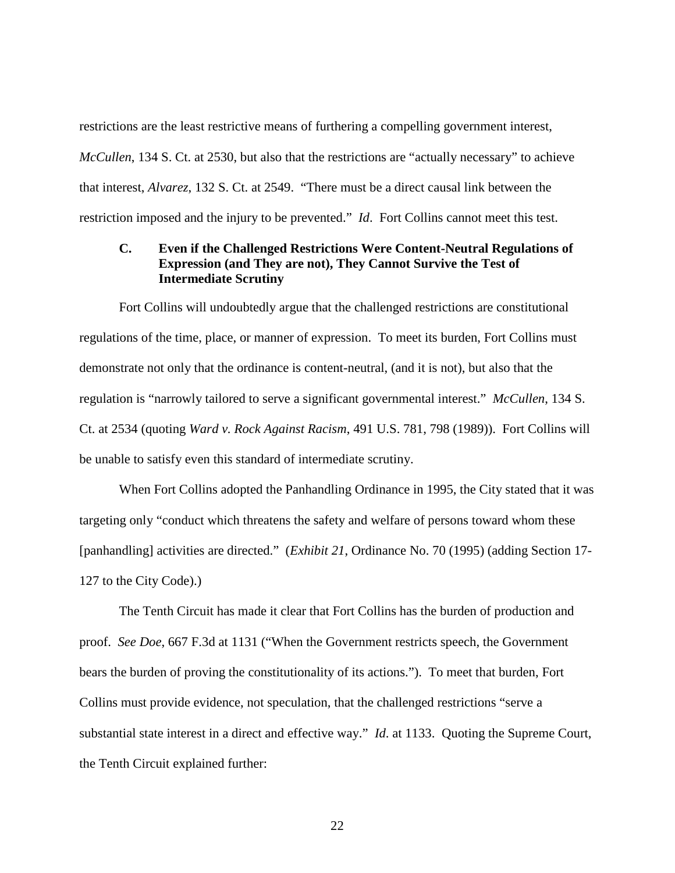restrictions are the least restrictive means of furthering a compelling government interest, *McCullen*, 134 S. Ct. at 2530, but also that the restrictions are "actually necessary" to achieve that interest, *Alvarez*, 132 S. Ct. at 2549. "There must be a direct causal link between the restriction imposed and the injury to be prevented." *Id*. Fort Collins cannot meet this test.

# <span id="page-28-0"></span>**C. Even if the Challenged Restrictions Were Content-Neutral Regulations of Expression (and They are not), They Cannot Survive the Test of Intermediate Scrutiny**

Fort Collins will undoubtedly argue that the challenged restrictions are constitutional regulations of the time, place, or manner of expression. To meet its burden, Fort Collins must demonstrate not only that the ordinance is content-neutral, (and it is not), but also that the regulation is "narrowly tailored to serve a significant governmental interest." *McCullen*, 134 S. Ct. at 2534 (quoting *Ward v. Rock Against Racism*, 491 U.S. 781, 798 (1989)). Fort Collins will be unable to satisfy even this standard of intermediate scrutiny.

When Fort Collins adopted the Panhandling Ordinance in 1995, the City stated that it was targeting only "conduct which threatens the safety and welfare of persons toward whom these [panhandling] activities are directed." (*Exhibit 21*, Ordinance No. 70 (1995) (adding Section 17- 127 to the City Code).)

The Tenth Circuit has made it clear that Fort Collins has the burden of production and proof. *See Doe*, 667 F.3d at 1131 ("When the Government restricts speech, the Government bears the burden of proving the constitutionality of its actions."). To meet that burden, Fort Collins must provide evidence, not speculation, that the challenged restrictions "serve a substantial state interest in a direct and effective way." *Id*. at 1133. Quoting the Supreme Court, the Tenth Circuit explained further: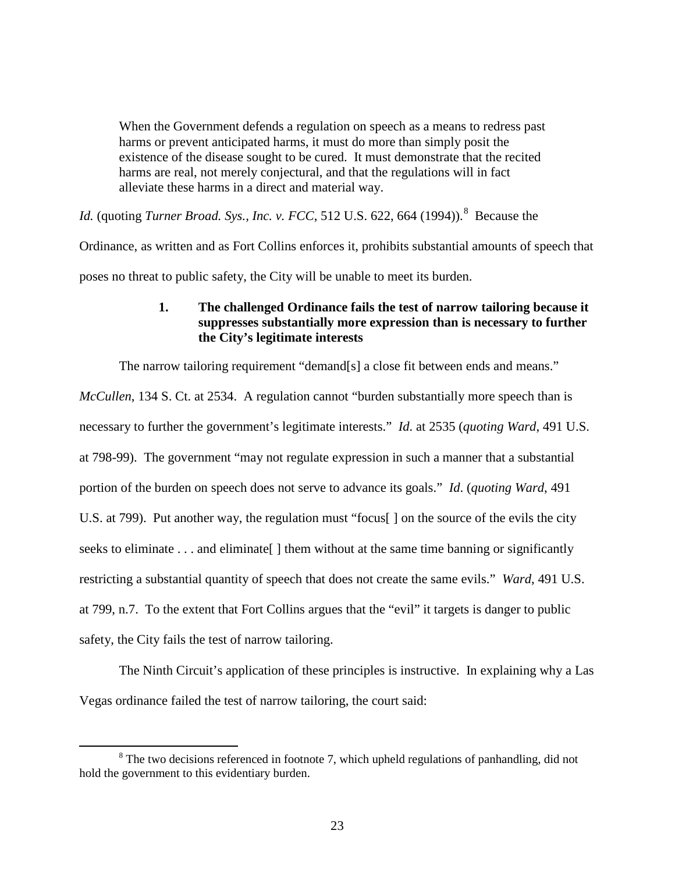When the Government defends a regulation on speech as a means to redress past harms or prevent anticipated harms, it must do more than simply posit the existence of the disease sought to be cured. It must demonstrate that the recited harms are real, not merely conjectural, and that the regulations will in fact alleviate these harms in a direct and material way.

*Id.* (quoting *Turner Broad. Sys., Inc. v. FCC*, 512 U.S. 622, 664 (1994)).<sup>[8](#page-29-1)</sup> Because the

Ordinance, as written and as Fort Collins enforces it, prohibits substantial amounts of speech that

<span id="page-29-0"></span>poses no threat to public safety, the City will be unable to meet its burden.

# **1. The challenged Ordinance fails the test of narrow tailoring because it suppresses substantially more expression than is necessary to further the City's legitimate interests**

The narrow tailoring requirement "demand[s] a close fit between ends and means."

*McCullen*, 134 S. Ct. at 2534. A regulation cannot "burden substantially more speech than is necessary to further the government's legitimate interests." *Id*. at 2535 (*quoting Ward*, 491 U.S. at 798-99). The government "may not regulate expression in such a manner that a substantial portion of the burden on speech does not serve to advance its goals." *Id*. (*quoting Ward*, 491 U.S. at 799). Put another way, the regulation must "focus[ ] on the source of the evils the city seeks to eliminate . . . and eliminate [] them without at the same time banning or significantly restricting a substantial quantity of speech that does not create the same evils." *Ward*, 491 U.S. at 799, n.7. To the extent that Fort Collins argues that the "evil" it targets is danger to public safety, the City fails the test of narrow tailoring.

The Ninth Circuit's application of these principles is instructive. In explaining why a Las Vegas ordinance failed the test of narrow tailoring, the court said:

<span id="page-29-1"></span><sup>&</sup>lt;sup>8</sup> The two decisions referenced in footnote 7, which upheld regulations of panhandling, did not hold the government to this evidentiary burden.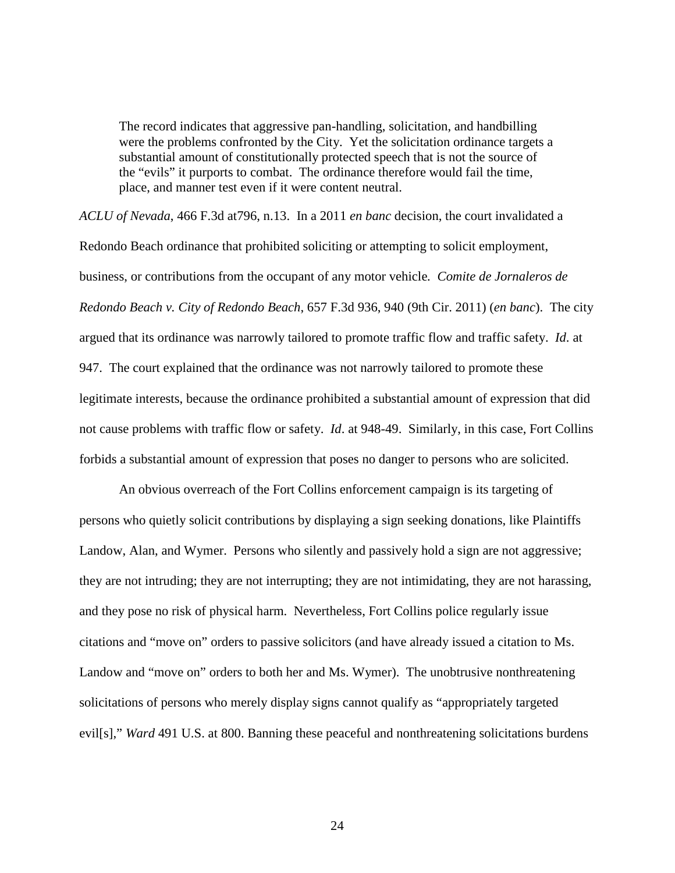The record indicates that aggressive pan-handling, solicitation, and handbilling were the problems confronted by the City. Yet the solicitation ordinance targets a substantial amount of constitutionally protected speech that is not the source of the "evils" it purports to combat. The ordinance therefore would fail the time, place, and manner test even if it were content neutral.

*ACLU of Nevada*, 466 F.3d at796, n.13. In a 2011 *en banc* decision, the court invalidated a Redondo Beach ordinance that prohibited soliciting or attempting to solicit employment, business, or contributions from the occupant of any motor vehicle*. Comite de Jornaleros de Redondo Beach v. City of Redondo Beach*, 657 F.3d 936, 940 (9th Cir. 2011) (*en banc*). The city argued that its ordinance was narrowly tailored to promote traffic flow and traffic safety. *Id*. at 947. The court explained that the ordinance was not narrowly tailored to promote these legitimate interests, because the ordinance prohibited a substantial amount of expression that did not cause problems with traffic flow or safety. *Id*. at 948-49. Similarly, in this case, Fort Collins forbids a substantial amount of expression that poses no danger to persons who are solicited.

An obvious overreach of the Fort Collins enforcement campaign is its targeting of persons who quietly solicit contributions by displaying a sign seeking donations, like Plaintiffs Landow, Alan, and Wymer. Persons who silently and passively hold a sign are not aggressive; they are not intruding; they are not interrupting; they are not intimidating, they are not harassing, and they pose no risk of physical harm. Nevertheless, Fort Collins police regularly issue citations and "move on" orders to passive solicitors (and have already issued a citation to Ms. Landow and "move on" orders to both her and Ms. Wymer). The unobtrusive nonthreatening solicitations of persons who merely display signs cannot qualify as "appropriately targeted evil[s]," *Ward* 491 U.S. at 800. Banning these peaceful and nonthreatening solicitations burdens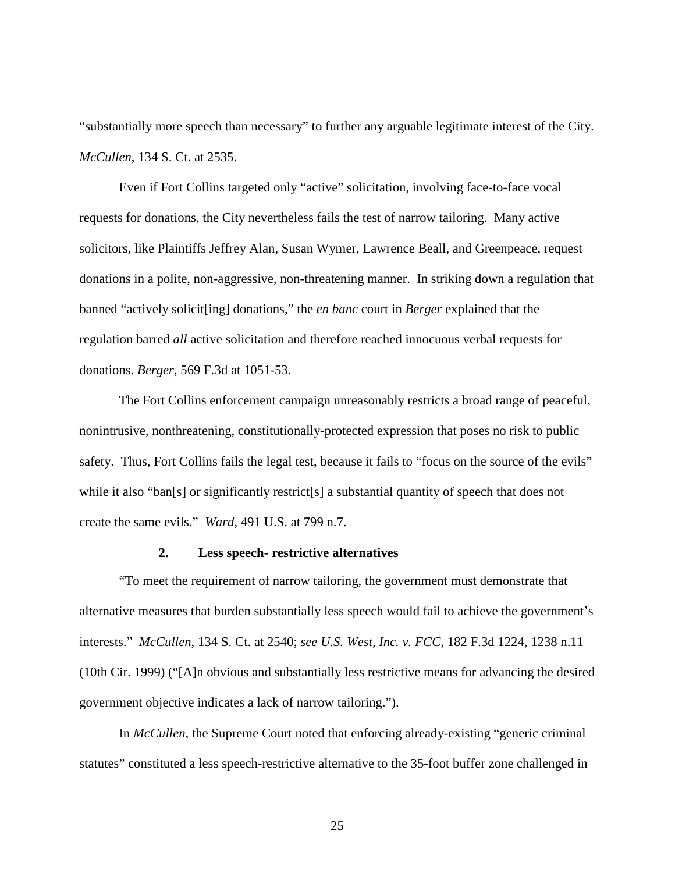"substantially more speech than necessary" to further any arguable legitimate interest of the City. *McCullen*, 134 S. Ct. at 2535.

Even if Fort Collins targeted only "active" solicitation, involving face-to-face vocal requests for donations, the City nevertheless fails the test of narrow tailoring. Many active solicitors, like Plaintiffs Jeffrey Alan, Susan Wymer, Lawrence Beall, and Greenpeace, request donations in a polite, non-aggressive, non-threatening manner. In striking down a regulation that banned "actively solicit[ing] donations," the *en banc* court in *Berger* explained that the regulation barred *all* active solicitation and therefore reached innocuous verbal requests for donations. *Berger*, 569 F.3d at 1051-53.

The Fort Collins enforcement campaign unreasonably restricts a broad range of peaceful, nonintrusive, nonthreatening, constitutionally-protected expression that poses no risk to public safety. Thus, Fort Collins fails the legal test, because it fails to "focus on the source of the evils" while it also "ban[s] or significantly restrict[s] a substantial quantity of speech that does not create the same evils." *Ward*, 491 U.S. at 799 n.7.

## **2. Less speech- restrictive alternatives**

<span id="page-31-0"></span>"To meet the requirement of narrow tailoring, the government must demonstrate that alternative measures that burden substantially less speech would fail to achieve the government's interests." *McCullen*, 134 S. Ct. at 2540; *see U.S. West, Inc. v. FCC*, 182 F.3d 1224, 1238 n.11 (10th Cir. 1999) ("[A]n obvious and substantially less restrictive means for advancing the desired government objective indicates a lack of narrow tailoring.").

In *McCullen*, the Supreme Court noted that enforcing already-existing "generic criminal statutes" constituted a less speech-restrictive alternative to the 35-foot buffer zone challenged in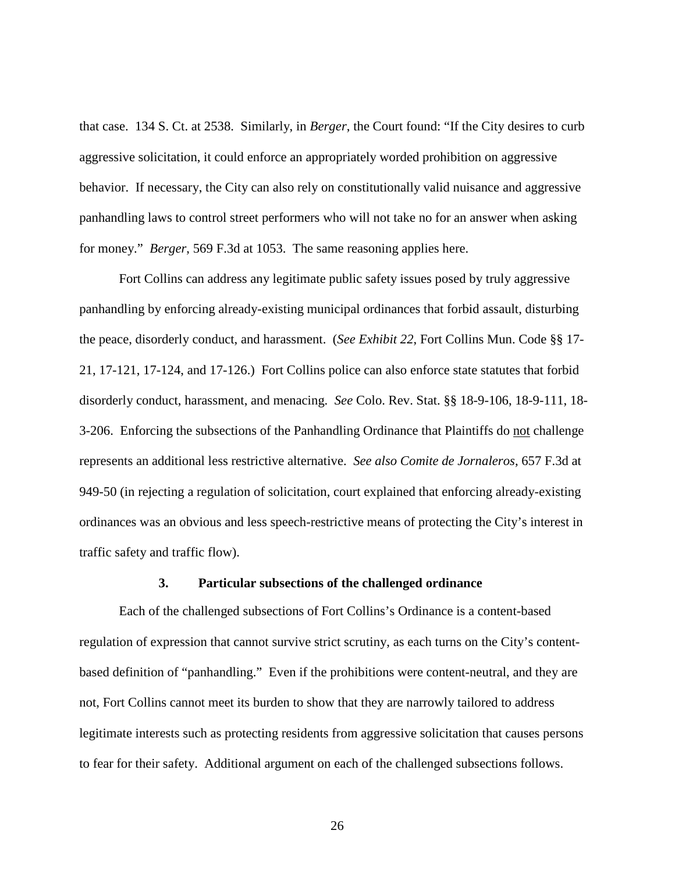that case. 134 S. Ct. at 2538. Similarly, in *Berger*, the Court found: "If the City desires to curb aggressive solicitation, it could enforce an appropriately worded prohibition on aggressive behavior. If necessary, the City can also rely on constitutionally valid nuisance and aggressive panhandling laws to control street performers who will not take no for an answer when asking for money." *Berger*, 569 F.3d at 1053. The same reasoning applies here.

Fort Collins can address any legitimate public safety issues posed by truly aggressive panhandling by enforcing already-existing municipal ordinances that forbid assault, disturbing the peace, disorderly conduct, and harassment. (*See Exhibit 22*, Fort Collins Mun. Code §§ 17- 21, 17-121, 17-124, and 17-126.) Fort Collins police can also enforce state statutes that forbid disorderly conduct, harassment, and menacing. *See* Colo. Rev. Stat. §§ 18-9-106, 18-9-111, 18- 3-206. Enforcing the subsections of the Panhandling Ordinance that Plaintiffs do not challenge represents an additional less restrictive alternative. *See also Comite de Jornaleros*, 657 F.3d at 949-50 (in rejecting a regulation of solicitation, court explained that enforcing already-existing ordinances was an obvious and less speech-restrictive means of protecting the City's interest in traffic safety and traffic flow).

### **3. Particular subsections of the challenged ordinance**

<span id="page-32-0"></span>Each of the challenged subsections of Fort Collins's Ordinance is a content-based regulation of expression that cannot survive strict scrutiny, as each turns on the City's contentbased definition of "panhandling." Even if the prohibitions were content-neutral, and they are not, Fort Collins cannot meet its burden to show that they are narrowly tailored to address legitimate interests such as protecting residents from aggressive solicitation that causes persons to fear for their safety. Additional argument on each of the challenged subsections follows.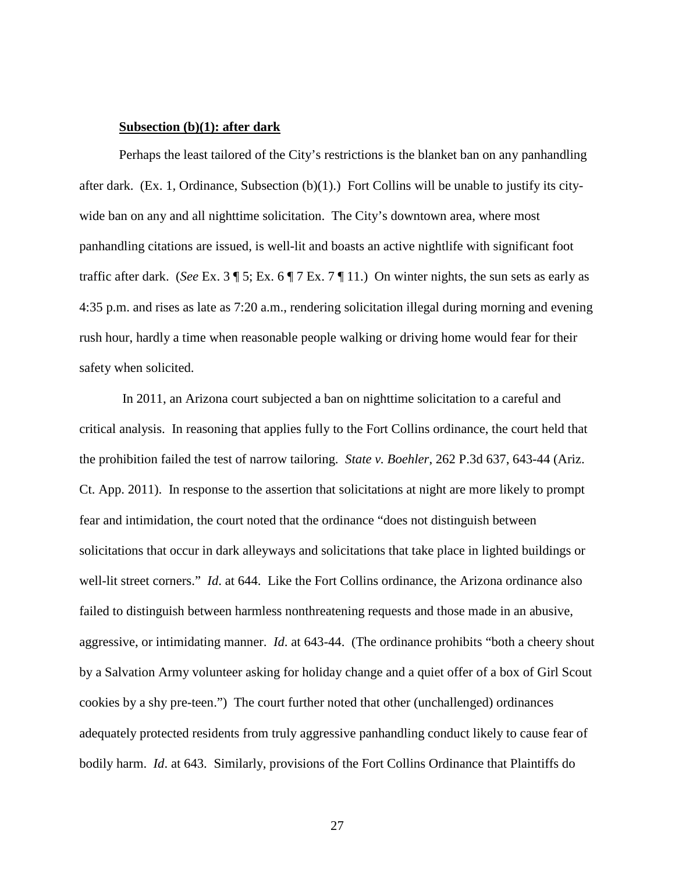### **Subsection (b)(1): after dark**

Perhaps the least tailored of the City's restrictions is the blanket ban on any panhandling after dark. (Ex. 1*,* Ordinance, Subsection (b)(1).) Fort Collins will be unable to justify its citywide ban on any and all nighttime solicitation. The City's downtown area, where most panhandling citations are issued, is well-lit and boasts an active nightlife with significant foot traffic after dark. (*See* Ex. 3 ¶ 5; Ex. 6 ¶ 7 Ex. 7 ¶ 11.) On winter nights, the sun sets as early as 4:35 p.m. and rises as late as 7:20 a.m., rendering solicitation illegal during morning and evening rush hour, hardly a time when reasonable people walking or driving home would fear for their safety when solicited.

In 2011, an Arizona court subjected a ban on nighttime solicitation to a careful and critical analysis. In reasoning that applies fully to the Fort Collins ordinance, the court held that the prohibition failed the test of narrow tailoring. *State v. Boehler*, 262 P.3d 637, 643-44 (Ariz. Ct. App. 2011). In response to the assertion that solicitations at night are more likely to prompt fear and intimidation, the court noted that the ordinance "does not distinguish between solicitations that occur in dark alleyways and solicitations that take place in lighted buildings or well-lit street corners." *Id*. at 644. Like the Fort Collins ordinance, the Arizona ordinance also failed to distinguish between harmless nonthreatening requests and those made in an abusive, aggressive, or intimidating manner. *Id*. at 643-44. (The ordinance prohibits "both a cheery shout by a Salvation Army volunteer asking for holiday change and a quiet offer of a box of Girl Scout cookies by a shy pre-teen.") The court further noted that other (unchallenged) ordinances adequately protected residents from truly aggressive panhandling conduct likely to cause fear of bodily harm. *Id*. at 643. Similarly, provisions of the Fort Collins Ordinance that Plaintiffs do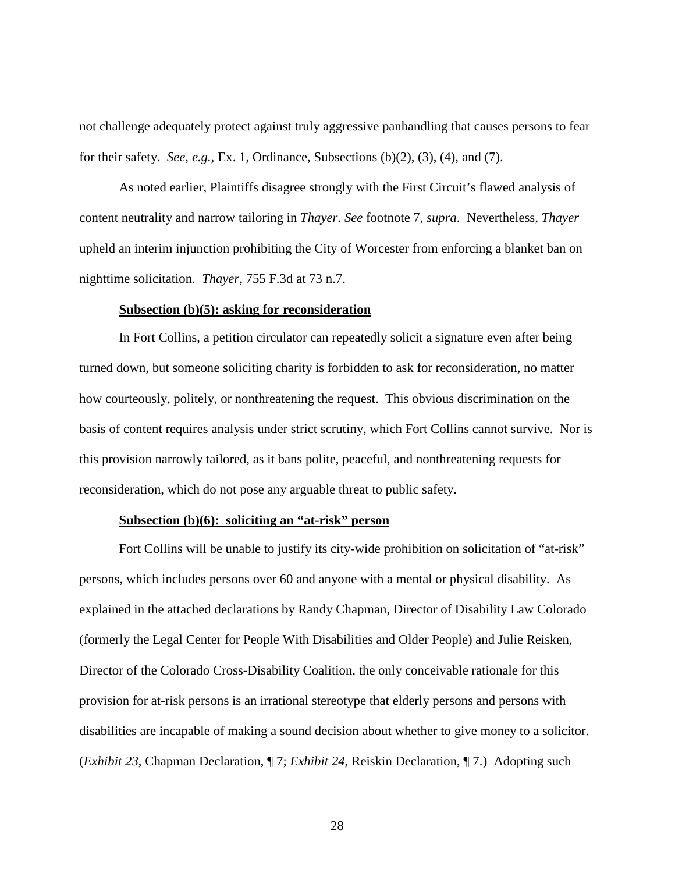not challenge adequately protect against truly aggressive panhandling that causes persons to fear for their safety. *See, e.g.,* Ex. 1, Ordinance, Subsections (b)(2), (3), (4), and (7).

As noted earlier, Plaintiffs disagree strongly with the First Circuit's flawed analysis of content neutrality and narrow tailoring in *Thayer*. *See* footnote 7, *supra*. Nevertheless, *Thayer* upheld an interim injunction prohibiting the City of Worcester from enforcing a blanket ban on nighttime solicitation. *Thayer*, 755 F.3d at 73 n.7.

### **Subsection (b)(5): asking for reconsideration**

In Fort Collins, a petition circulator can repeatedly solicit a signature even after being turned down, but someone soliciting charity is forbidden to ask for reconsideration, no matter how courteously, politely, or nonthreatening the request. This obvious discrimination on the basis of content requires analysis under strict scrutiny, which Fort Collins cannot survive. Nor is this provision narrowly tailored, as it bans polite, peaceful, and nonthreatening requests for reconsideration, which do not pose any arguable threat to public safety.

#### **Subsection (b)(6): soliciting an "at-risk" person**

Fort Collins will be unable to justify its city-wide prohibition on solicitation of "at-risk" persons, which includes persons over 60 and anyone with a mental or physical disability. As explained in the attached declarations by Randy Chapman, Director of Disability Law Colorado (formerly the Legal Center for People With Disabilities and Older People) and Julie Reisken, Director of the Colorado Cross-Disability Coalition, the only conceivable rationale for this provision for at-risk persons is an irrational stereotype that elderly persons and persons with disabilities are incapable of making a sound decision about whether to give money to a solicitor. (*Exhibit 23*, Chapman Declaration, ¶ 7; *Exhibit 24*, Reiskin Declaration, ¶ 7.) Adopting such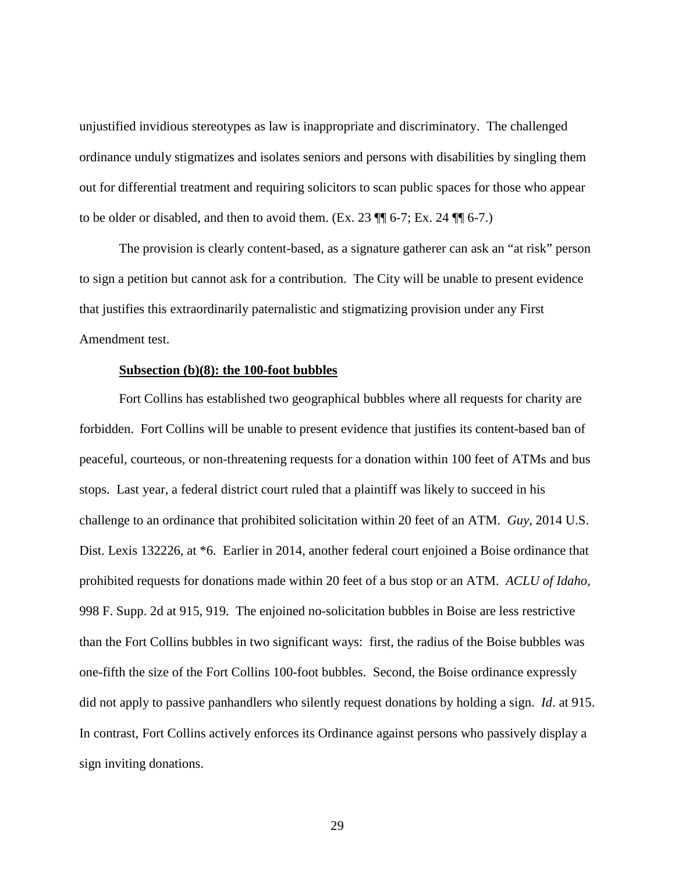unjustified invidious stereotypes as law is inappropriate and discriminatory. The challenged ordinance unduly stigmatizes and isolates seniors and persons with disabilities by singling them out for differential treatment and requiring solicitors to scan public spaces for those who appear to be older or disabled, and then to avoid them. (Ex. 23  $\P$  $\parallel$  6-7; Ex. 24  $\P$  $\parallel$  6-7.)

The provision is clearly content-based, as a signature gatherer can ask an "at risk" person to sign a petition but cannot ask for a contribution. The City will be unable to present evidence that justifies this extraordinarily paternalistic and stigmatizing provision under any First Amendment test.

#### **Subsection (b)(8): the 100-foot bubbles**

Fort Collins has established two geographical bubbles where all requests for charity are forbidden. Fort Collins will be unable to present evidence that justifies its content-based ban of peaceful, courteous, or non-threatening requests for a donation within 100 feet of ATMs and bus stops. Last year, a federal district court ruled that a plaintiff was likely to succeed in his challenge to an ordinance that prohibited solicitation within 20 feet of an ATM. *Guy*, 2014 U.S. Dist. Lexis 132226, at \*6. Earlier in 2014, another federal court enjoined a Boise ordinance that prohibited requests for donations made within 20 feet of a bus stop or an ATM. *ACLU of Idaho*, 998 F. Supp. 2d at 915, 919. The enjoined no-solicitation bubbles in Boise are less restrictive than the Fort Collins bubbles in two significant ways: first, the radius of the Boise bubbles was one-fifth the size of the Fort Collins 100-foot bubbles. Second, the Boise ordinance expressly did not apply to passive panhandlers who silently request donations by holding a sign. *Id*. at 915. In contrast, Fort Collins actively enforces its Ordinance against persons who passively display a sign inviting donations.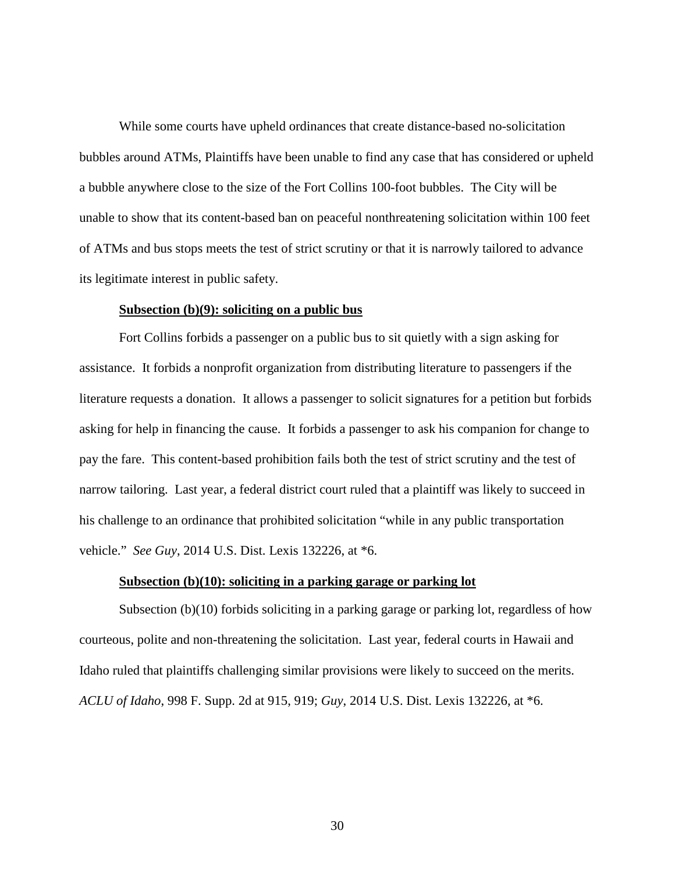While some courts have upheld ordinances that create distance-based no-solicitation bubbles around ATMs, Plaintiffs have been unable to find any case that has considered or upheld a bubble anywhere close to the size of the Fort Collins 100-foot bubbles. The City will be unable to show that its content-based ban on peaceful nonthreatening solicitation within 100 feet of ATMs and bus stops meets the test of strict scrutiny or that it is narrowly tailored to advance its legitimate interest in public safety.

### **Subsection (b)(9): soliciting on a public bus**

Fort Collins forbids a passenger on a public bus to sit quietly with a sign asking for assistance. It forbids a nonprofit organization from distributing literature to passengers if the literature requests a donation. It allows a passenger to solicit signatures for a petition but forbids asking for help in financing the cause. It forbids a passenger to ask his companion for change to pay the fare. This content-based prohibition fails both the test of strict scrutiny and the test of narrow tailoring. Last year, a federal district court ruled that a plaintiff was likely to succeed in his challenge to an ordinance that prohibited solicitation "while in any public transportation vehicle." *See Guy*, 2014 U.S. Dist. Lexis 132226, at \*6.

## **Subsection (b)(10): soliciting in a parking garage or parking lot**

Subsection (b)(10) forbids soliciting in a parking garage or parking lot, regardless of how courteous, polite and non-threatening the solicitation. Last year, federal courts in Hawaii and Idaho ruled that plaintiffs challenging similar provisions were likely to succeed on the merits. *ACLU of Idaho*, 998 F. Supp. 2d at 915, 919; *Guy*, 2014 U.S. Dist. Lexis 132226, at \*6.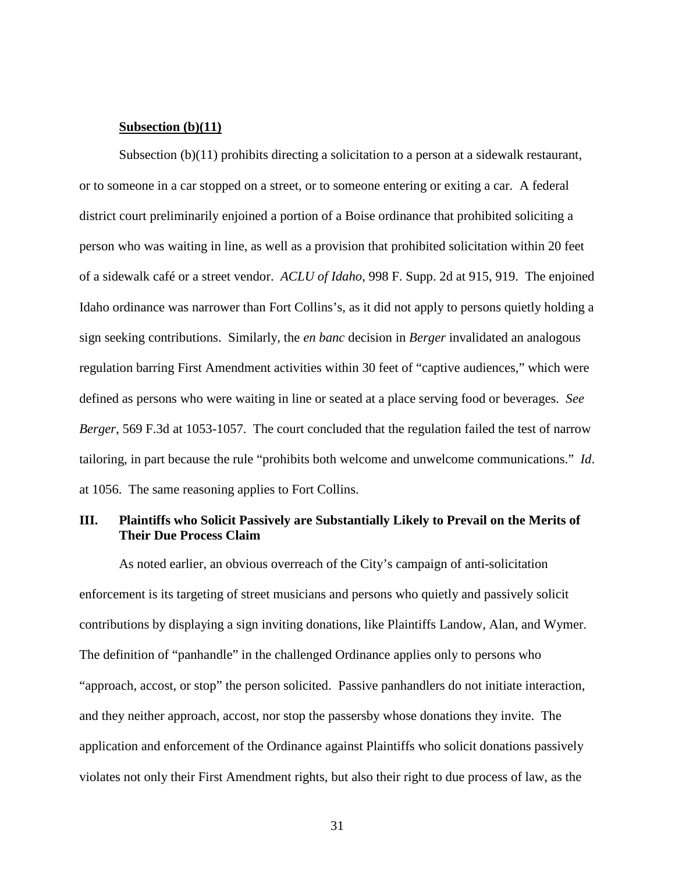### **Subsection (b)(11)**

Subsection (b)(11) prohibits directing a solicitation to a person at a sidewalk restaurant, or to someone in a car stopped on a street, or to someone entering or exiting a car. A federal district court preliminarily enjoined a portion of a Boise ordinance that prohibited soliciting a person who was waiting in line, as well as a provision that prohibited solicitation within 20 feet of a sidewalk café or a street vendor. *ACLU of Idaho*, 998 F. Supp. 2d at 915, 919. The enjoined Idaho ordinance was narrower than Fort Collins's, as it did not apply to persons quietly holding a sign seeking contributions. Similarly, the *en banc* decision in *Berger* invalidated an analogous regulation barring First Amendment activities within 30 feet of "captive audiences," which were defined as persons who were waiting in line or seated at a place serving food or beverages. *See Berger*, 569 F.3d at 1053-1057. The court concluded that the regulation failed the test of narrow tailoring, in part because the rule "prohibits both welcome and unwelcome communications." *Id*. at 1056. The same reasoning applies to Fort Collins.

# <span id="page-37-0"></span>**III. Plaintiffs who Solicit Passively are Substantially Likely to Prevail on the Merits of Their Due Process Claim**

As noted earlier, an obvious overreach of the City's campaign of anti-solicitation enforcement is its targeting of street musicians and persons who quietly and passively solicit contributions by displaying a sign inviting donations, like Plaintiffs Landow, Alan, and Wymer. The definition of "panhandle" in the challenged Ordinance applies only to persons who "approach, accost, or stop" the person solicited. Passive panhandlers do not initiate interaction, and they neither approach, accost, nor stop the passersby whose donations they invite. The application and enforcement of the Ordinance against Plaintiffs who solicit donations passively violates not only their First Amendment rights, but also their right to due process of law, as the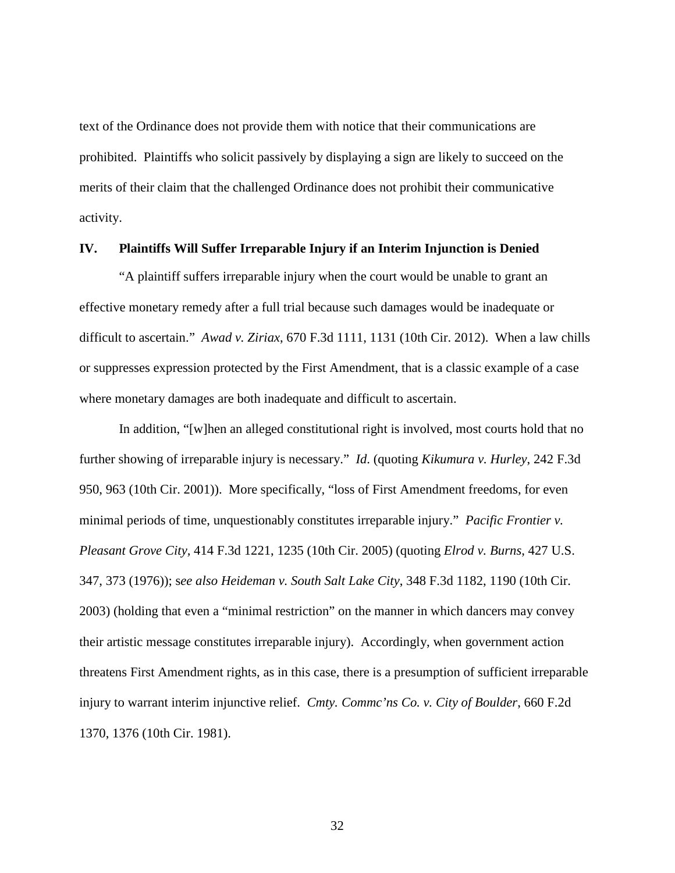text of the Ordinance does not provide them with notice that their communications are prohibited. Plaintiffs who solicit passively by displaying a sign are likely to succeed on the merits of their claim that the challenged Ordinance does not prohibit their communicative activity.

### <span id="page-38-0"></span>**IV. Plaintiffs Will Suffer Irreparable Injury if an Interim Injunction is Denied**

"A plaintiff suffers irreparable injury when the court would be unable to grant an effective monetary remedy after a full trial because such damages would be inadequate or difficult to ascertain." *Awad v. Ziriax*, 670 F.3d 1111, 1131 (10th Cir. 2012). When a law chills or suppresses expression protected by the First Amendment, that is a classic example of a case where monetary damages are both inadequate and difficult to ascertain.

In addition, "[w]hen an alleged constitutional right is involved, most courts hold that no further showing of irreparable injury is necessary." *Id*. (quoting *Kikumura v. Hurley*, 242 F.3d 950, 963 (10th Cir. 2001)). More specifically, "loss of First Amendment freedoms, for even minimal periods of time, unquestionably constitutes irreparable injury." *Pacific Frontier v. Pleasant Grove City,* 414 F.3d 1221, 1235 (10th Cir. 2005) (quoting *Elrod v. Burns*, 427 U.S. 347, 373 (1976)); s*ee also Heideman v. South Salt Lake City*, 348 F.3d 1182, 1190 (10th Cir. 2003) (holding that even a "minimal restriction" on the manner in which dancers may convey their artistic message constitutes irreparable injury). Accordingly, when government action threatens First Amendment rights, as in this case, there is a presumption of sufficient irreparable injury to warrant interim injunctive relief. *Cmty. Commc'ns Co. v. City of Boulder*, 660 F.2d 1370, 1376 (10th Cir. 1981).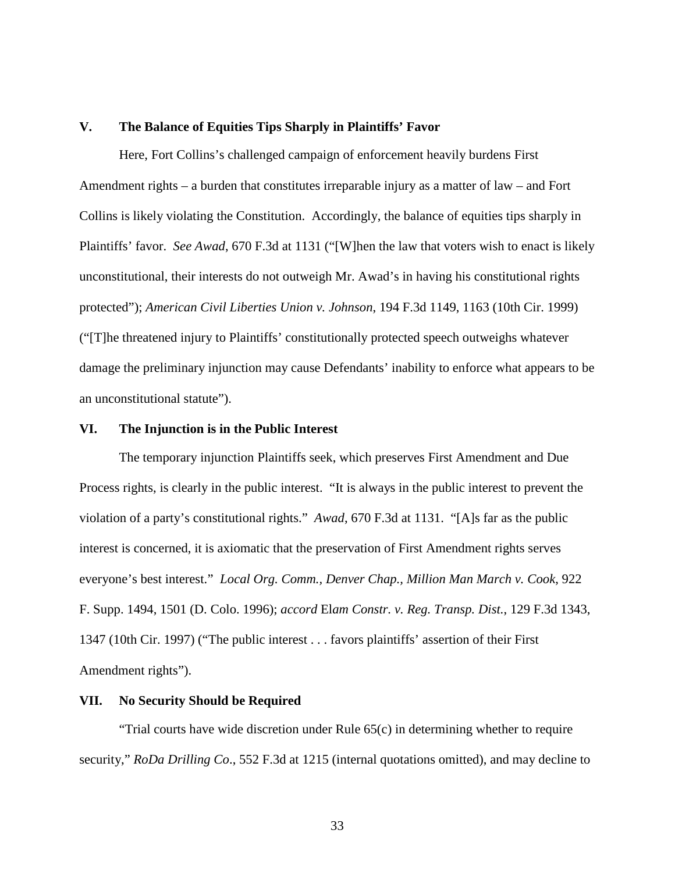#### <span id="page-39-0"></span>**V. The Balance of Equities Tips Sharply in Plaintiffs' Favor**

Here, Fort Collins's challenged campaign of enforcement heavily burdens First Amendment rights – a burden that constitutes irreparable injury as a matter of law – and Fort Collins is likely violating the Constitution. Accordingly, the balance of equities tips sharply in Plaintiffs' favor. *See Awad*, 670 F.3d at 1131 ("[W]hen the law that voters wish to enact is likely unconstitutional, their interests do not outweigh Mr. Awad's in having his constitutional rights protected"); *American Civil Liberties Union v. Johnson*, 194 F.3d 1149, 1163 (10th Cir. 1999) ("[T]he threatened injury to Plaintiffs' constitutionally protected speech outweighs whatever damage the preliminary injunction may cause Defendants' inability to enforce what appears to be an unconstitutional statute").

#### <span id="page-39-1"></span>**VI. The Injunction is in the Public Interest**

The temporary injunction Plaintiffs seek, which preserves First Amendment and Due Process rights, is clearly in the public interest. "It is always in the public interest to prevent the violation of a party's constitutional rights." *Awad*, 670 F.3d at 1131. "[A]s far as the public interest is concerned, it is axiomatic that the preservation of First Amendment rights serves everyone's best interest." *Local Org. Comm., Denver Chap., Million Man March v. Cook*, 922 F. Supp. 1494, 1501 (D. Colo. 1996); *accord* El*am Constr. v. Reg. Transp. Dist.*, 129 F.3d 1343, 1347 (10th Cir. 1997) ("The public interest . . . favors plaintiffs' assertion of their First Amendment rights").

### <span id="page-39-2"></span>**VII. No Security Should be Required**

"Trial courts have wide discretion under Rule 65(c) in determining whether to require security," *RoDa Drilling Co*., 552 F.3d at 1215 (internal quotations omitted), and may decline to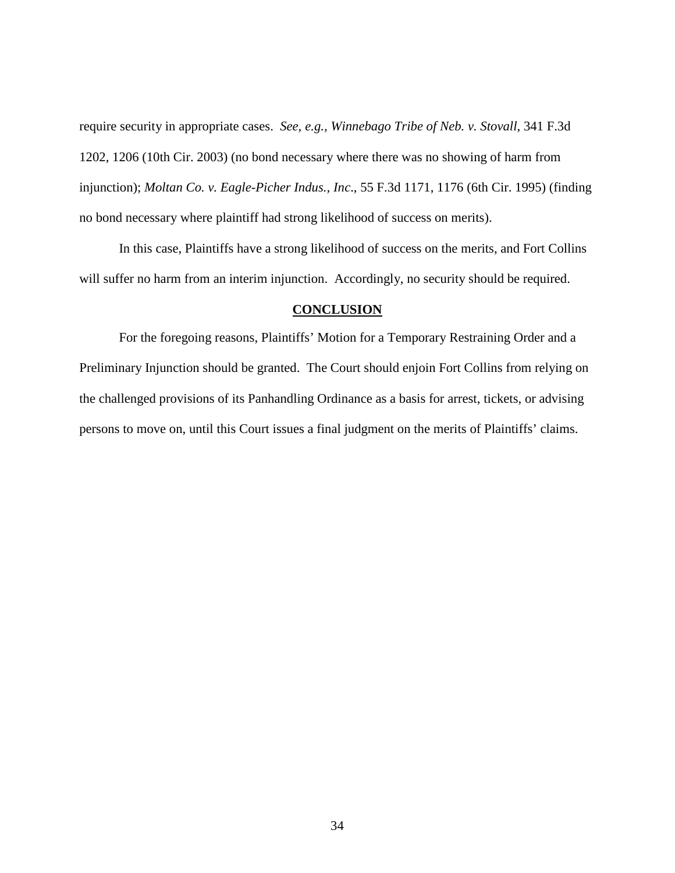require security in appropriate cases. *See, e.g., Winnebago Tribe of Neb. v. Stovall*, 341 F.3d 1202, 1206 (10th Cir. 2003) (no bond necessary where there was no showing of harm from injunction); *Moltan Co. v. Eagle-Picher Indus., Inc*., 55 F.3d 1171, 1176 (6th Cir. 1995) (finding no bond necessary where plaintiff had strong likelihood of success on merits).

In this case, Plaintiffs have a strong likelihood of success on the merits, and Fort Collins will suffer no harm from an interim injunction. Accordingly, no security should be required.

## **CONCLUSION**

<span id="page-40-0"></span>For the foregoing reasons, Plaintiffs' Motion for a Temporary Restraining Order and a Preliminary Injunction should be granted. The Court should enjoin Fort Collins from relying on the challenged provisions of its Panhandling Ordinance as a basis for arrest, tickets, or advising persons to move on, until this Court issues a final judgment on the merits of Plaintiffs' claims.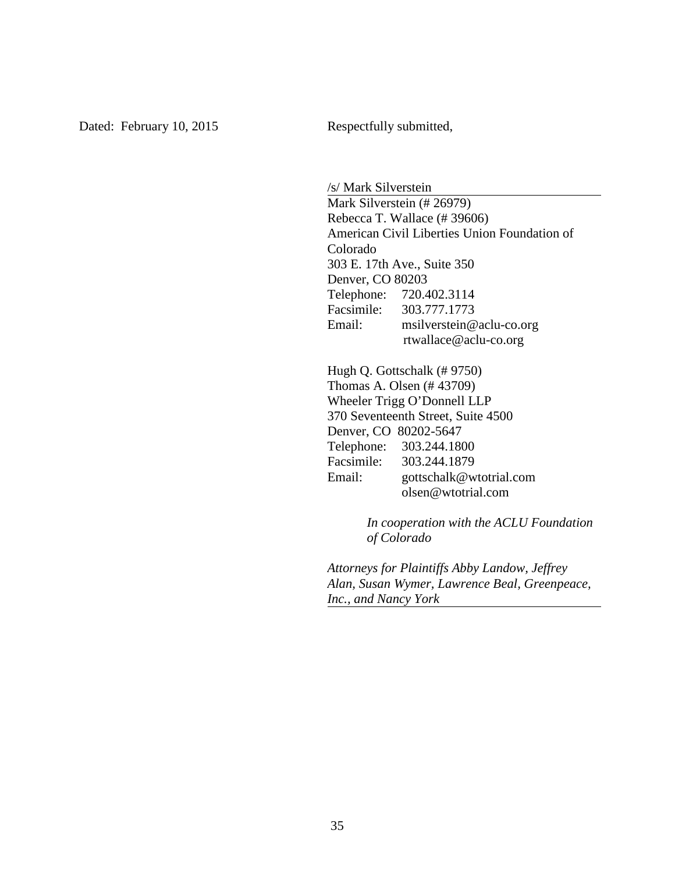/s/ Mark Silverstein Mark Silverstein (# 26979) Rebecca T. Wallace (# 39606) American Civil Liberties Union Foundation of Colorado 303 E. 17th Ave., Suite 350 Denver, CO 80203 Telephone: 720.402.3114 Facsimile: 303.777.1773 Email: msilverstein@aclu-co.org rtwallace@aclu-co.org

Hugh Q. Gottschalk (# 9750) Thomas A. Olsen (# 43709) Wheeler Trigg O'Donnell LLP 370 Seventeenth Street, Suite 4500 Denver, CO 80202-5647 Telephone: 303.244.1800 Facsimile: 303.244.1879 Email: gottschalk@wtotrial.com olsen@wtotrial.com

> *In cooperation with the ACLU Foundation of Colorado*

*Attorneys for Plaintiffs Abby Landow, Jeffrey Alan, Susan Wymer, Lawrence Beal, Greenpeace, Inc., and Nancy York*